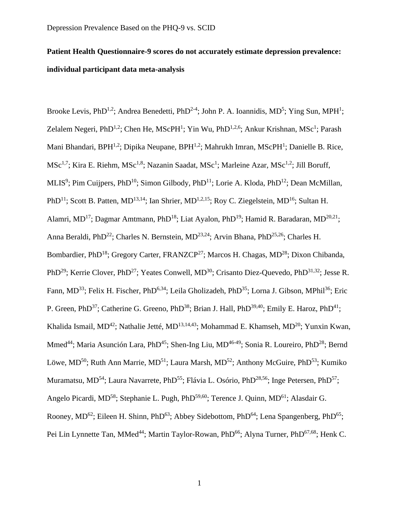# **Patient Health Questionnaire-9 scores do not accurately estimate depression prevalence: individual participant data meta-analysis**

Brooke Levis, PhD<sup>1,2</sup>; Andrea Benedetti, PhD<sup>2-4</sup>; John P. A. Ioannidis, MD<sup>5</sup>; Ying Sun, MPH<sup>1</sup>; Zelalem Negeri, PhD<sup>1,2</sup>; Chen He, MScPH<sup>1</sup>; Yin Wu, PhD<sup>1,2,6</sup>; Ankur Krishnan, MSc<sup>1</sup>; Parash Mani Bhandari, BPH<sup>1,2</sup>; Dipika Neupane, BPH<sup>1,2</sup>; Mahrukh Imran, MScPH<sup>1</sup>; Danielle B. Rice, MSc<sup>1,7</sup>; Kira E. Riehm, MSc<sup>1,8</sup>; Nazanin Saadat, MSc<sup>1</sup>; Marleine Azar, MSc<sup>1,2</sup>; Jill Boruff, MLIS<sup>9</sup>; Pim Cuijpers, PhD<sup>10</sup>; Simon Gilbody, PhD<sup>11</sup>; Lorie A. Kloda, PhD<sup>12</sup>; Dean McMillan, PhD<sup>11</sup>; Scott B. Patten, MD<sup>13,14</sup>; Ian Shrier, MD<sup>1,2,15</sup>; Roy C. Ziegelstein, MD<sup>16</sup>; Sultan H. Alamri, MD<sup>17</sup>; Dagmar Amtmann, PhD<sup>18</sup>; Liat Ayalon, PhD<sup>19</sup>; Hamid R. Baradaran, MD<sup>20,21</sup>; Anna Beraldi, PhD<sup>22</sup>; Charles N. Bernstein, MD<sup>23,24</sup>; Arvin Bhana, PhD<sup>25,26</sup>; Charles H. Bombardier, PhD<sup>18</sup>; Gregory Carter, FRANZCP<sup>27</sup>; Marcos H. Chagas, MD<sup>28</sup>; Dixon Chibanda, PhD<sup>29</sup>; Kerrie Clover, PhD<sup>27</sup>; Yeates Conwell, MD<sup>30</sup>; Crisanto Diez-Quevedo, PhD<sup>31,32</sup>; Jesse R. Fann, MD<sup>33</sup>; Felix H. Fischer, PhD<sup>6,34</sup>; Leila Gholizadeh, PhD<sup>35</sup>; Lorna J. Gibson, MPhil<sup>36</sup>; Eric P. Green, PhD<sup>37</sup>; Catherine G. Greeno, PhD<sup>38</sup>; Brian J. Hall, PhD<sup>39,40</sup>; Emily E. Haroz, PhD<sup>41</sup>; Khalida Ismail, MD<sup>42</sup>; Nathalie Jetté, MD<sup>13,14,43</sup>; Mohammad E. Khamseh, MD<sup>20</sup>; Yunxin Kwan, Mmed<sup>44</sup>; Maria Asunción Lara, PhD<sup>45</sup>; Shen-Ing Liu, MD<sup>46-49</sup>; Sonia R. Loureiro, PhD<sup>28</sup>; Bernd Löwe, MD<sup>50</sup>; Ruth Ann Marrie, MD<sup>51</sup>; Laura Marsh, MD<sup>52</sup>; Anthony McGuire, PhD<sup>53</sup>; Kumiko Muramatsu, MD<sup>54</sup>; Laura Navarrete, PhD<sup>55</sup>; Flávia L. Osório, PhD<sup>28,56</sup>; Inge Petersen, PhD<sup>57</sup>; Angelo Picardi, MD<sup>58</sup>; Stephanie L. Pugh, PhD<sup>59,60</sup>; Terence J. Quinn, MD<sup>61</sup>; Alasdair G. Rooney, MD<sup>62</sup>; Eileen H. Shinn, PhD<sup>63</sup>; Abbey Sidebottom, PhD<sup>64</sup>; Lena Spangenberg, PhD<sup>65</sup>; Pei Lin Lynnette Tan, MMed<sup>44</sup>; Martin Taylor-Rowan, PhD<sup>66</sup>; Alyna Turner, PhD<sup>67,68</sup>; Henk C.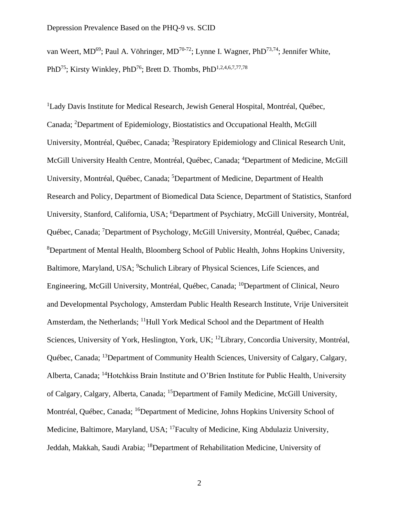van Weert, MD<sup>69</sup>; Paul A. Vöhringer, MD<sup>70-72</sup>; Lynne I. Wagner, PhD<sup>73,74</sup>; Jennifer White, PhD<sup>75</sup>; Kirsty Winkley, PhD<sup>76</sup>; Brett D. Thombs, PhD<sup>1,2,4,6,7,77,78</sup>

<sup>1</sup>Lady Davis Institute for Medical Research, Jewish General Hospital, Montréal, Québec, Canada; <sup>2</sup>Department of Epidemiology, Biostatistics and Occupational Health, McGill University, Montréal, Québec, Canada; <sup>3</sup>Respiratory Epidemiology and Clinical Research Unit, McGill University Health Centre, Montréal, Québec, Canada; <sup>4</sup>Department of Medicine, McGill University, Montréal, Québec, Canada; <sup>5</sup>Department of Medicine, Department of Health Research and Policy, Department of Biomedical Data Science, Department of Statistics, Stanford University, Stanford, California, USA; <sup>6</sup>Department of Psychiatry, McGill University, Montréal, Québec, Canada; <sup>7</sup>Department of Psychology, McGill University, Montréal, Québec, Canada; <sup>8</sup>Department of Mental Health, Bloomberg School of Public Health, Johns Hopkins University, Baltimore, Maryland, USA; <sup>9</sup>Schulich Library of Physical Sciences, Life Sciences, and Engineering, McGill University, Montréal, Québec, Canada; <sup>10</sup>Department of Clinical, Neuro and Developmental Psychology, Amsterdam Public Health Research Institute, Vrije Universiteit Amsterdam, the Netherlands; <sup>11</sup>Hull York Medical School and the Department of Health Sciences, University of York, Heslington, York, UK; <sup>12</sup>Library, Concordia University, Montréal, Québec, Canada; <sup>13</sup>Department of Community Health Sciences, University of Calgary, Calgary, Alberta, Canada; <sup>14</sup>Hotchkiss Brain Institute and O'Brien Institute for Public Health, University of Calgary, Calgary, Alberta, Canada; <sup>15</sup>Department of Family Medicine, McGill University, Montréal, Québec, Canada; <sup>16</sup>Department of Medicine, Johns Hopkins University School of Medicine, Baltimore, Maryland, USA; <sup>17</sup>Faculty of Medicine, King Abdulaziz University, Jeddah, Makkah, Saudi Arabia; <sup>18</sup>Department of Rehabilitation Medicine, University of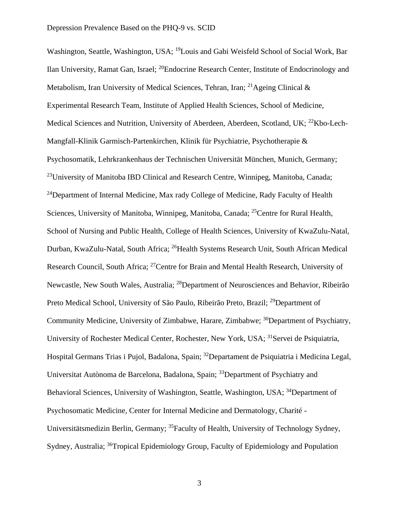Washington, Seattle, Washington, USA; <sup>19</sup>Louis and Gabi Weisfeld School of Social Work, Bar Ilan University, Ramat Gan, Israel; <sup>20</sup>Endocrine Research Center, Institute of Endocrinology and Metabolism, Iran University of Medical Sciences, Tehran, Iran; <sup>21</sup>Ageing Clinical  $\&$ Experimental Research Team, Institute of Applied Health Sciences, School of Medicine, Medical Sciences and Nutrition, University of Aberdeen, Aberdeen, Scotland, UK; <sup>22</sup>Kbo-Lech-Mangfall-Klinik Garmisch-Partenkirchen, Klinik für Psychiatrie, Psychotherapie & Psychosomatik, Lehrkrankenhaus der Technischen Universität München, Munich, Germany; <sup>23</sup>University of Manitoba IBD Clinical and Research Centre, Winnipeg, Manitoba, Canada; <sup>24</sup>Department of Internal Medicine, Max rady College of Medicine, Rady Faculty of Health Sciences, University of Manitoba, Winnipeg, Manitoba, Canada; <sup>25</sup>Centre for Rural Health, School of Nursing and Public Health, College of Health Sciences, University of KwaZulu-Natal, Durban, KwaZulu-Natal, South Africa; <sup>26</sup>Health Systems Research Unit, South African Medical Research Council, South Africa; <sup>27</sup>Centre for Brain and Mental Health Research, University of Newcastle, New South Wales, Australia; <sup>28</sup>Department of Neurosciences and Behavior, Ribeirão Preto Medical School, University of São Paulo, Ribeirão Preto, Brazil; <sup>29</sup>Department of Community Medicine, University of Zimbabwe, Harare, Zimbabwe; <sup>30</sup>Department of Psychiatry, University of Rochester Medical Center, Rochester, New York, USA; <sup>31</sup>Servei de Psiquiatria, Hospital Germans Trias i Pujol, Badalona, Spain; <sup>32</sup>Departament de Psiquiatria i Medicina Legal, Universitat Autònoma de Barcelona, Badalona, Spain; <sup>33</sup>Department of Psychiatry and Behavioral Sciences, University of Washington, Seattle, Washington, USA; <sup>34</sup>Department of Psychosomatic Medicine, Center for Internal Medicine and Dermatology, Charité - Universitätsmedizin Berlin, Germany; <sup>35</sup>Faculty of Health, University of Technology Sydney, Sydney, Australia; <sup>36</sup>Tropical Epidemiology Group, Faculty of Epidemiology and Population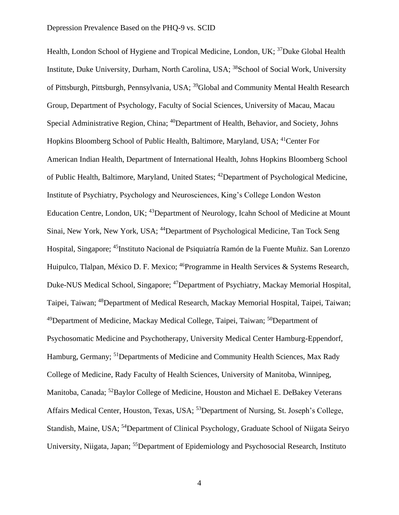Health, London School of Hygiene and Tropical Medicine, London, UK; <sup>37</sup>Duke Global Health Institute, Duke University, Durham, North Carolina, USA; <sup>38</sup>School of Social Work, University of Pittsburgh, Pittsburgh, Pennsylvania, USA; <sup>39</sup>Global and Community Mental Health Research Group, Department of Psychology, Faculty of Social Sciences, University of Macau, Macau Special Administrative Region, China; <sup>40</sup>Department of Health, Behavior, and Society, Johns Hopkins Bloomberg School of Public Health, Baltimore, Maryland, USA; <sup>41</sup>Center For American Indian Health, Department of International Health, Johns Hopkins Bloomberg School of Public Health, Baltimore, Maryland, United States; <sup>42</sup>Department of Psychological Medicine, Institute of Psychiatry, Psychology and Neurosciences, King's College London Weston Education Centre, London, UK; <sup>43</sup>Department of Neurology, Icahn School of Medicine at Mount Sinai, New York, New York, USA; <sup>44</sup>Department of Psychological Medicine, Tan Tock Seng Hospital, Singapore; <sup>45</sup>Instituto Nacional de Psiquiatría Ramón de la Fuente Muñiz. San Lorenzo Huipulco, Tlalpan, México D. F. Mexico; <sup>46</sup>Programme in Health Services & Systems Research, Duke-NUS Medical School, Singapore; <sup>47</sup>Department of Psychiatry, Mackay Memorial Hospital, Taipei, Taiwan; <sup>48</sup>Department of Medical Research, Mackay Memorial Hospital, Taipei, Taiwan; <sup>49</sup>Department of Medicine, Mackay Medical College, Taipei, Taiwan; <sup>50</sup>Department of Psychosomatic Medicine and Psychotherapy, University Medical Center Hamburg-Eppendorf, Hamburg, Germany; <sup>51</sup>Departments of Medicine and Community Health Sciences, Max Rady College of Medicine, Rady Faculty of Health Sciences, University of Manitoba, Winnipeg, Manitoba, Canada; <sup>52</sup>Baylor College of Medicine, Houston and Michael E. DeBakey Veterans Affairs Medical Center, Houston, Texas, USA; <sup>53</sup>Department of Nursing, St. Joseph's College, Standish, Maine, USA; <sup>54</sup>Department of Clinical Psychology, Graduate School of Niigata Seiryo University, Niigata, Japan; <sup>55</sup>Department of Epidemiology and Psychosocial Research, Instituto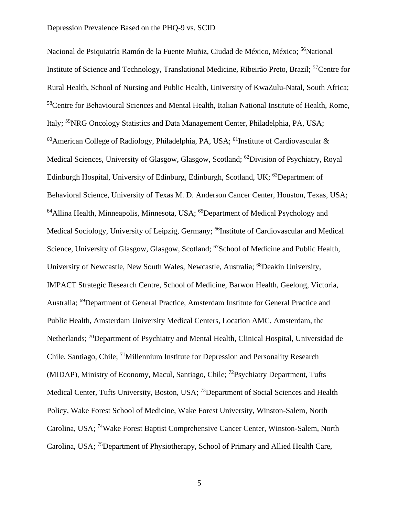Nacional de Psiquiatría Ramón de la Fuente Muñiz, Ciudad de México, México; <sup>56</sup>National Institute of Science and Technology, Translational Medicine, Ribeirão Preto, Brazil; <sup>57</sup>Centre for Rural Health, School of Nursing and Public Health, University of KwaZulu-Natal, South Africa; <sup>58</sup>Centre for Behavioural Sciences and Mental Health, Italian National Institute of Health, Rome, Italy; <sup>59</sup>NRG Oncology Statistics and Data Management Center, Philadelphia, PA, USA;  $60$ American College of Radiology, Philadelphia, PA, USA; <sup>61</sup>Institute of Cardiovascular & Medical Sciences, University of Glasgow, Glasgow, Scotland; <sup>62</sup>Division of Psychiatry, Royal Edinburgh Hospital, University of Edinburg, Edinburgh, Scotland, UK; <sup>63</sup>Department of Behavioral Science, University of Texas M. D. Anderson Cancer Center, Houston, Texas, USA; <sup>64</sup>Allina Health, Minneapolis, Minnesota, USA; <sup>65</sup>Department of Medical Psychology and Medical Sociology, University of Leipzig, Germany; <sup>66</sup>Institute of Cardiovascular and Medical Science, University of Glasgow, Glasgow, Scotland; <sup>67</sup>School of Medicine and Public Health, University of Newcastle, New South Wales, Newcastle, Australia; <sup>68</sup>Deakin University, IMPACT Strategic Research Centre, School of Medicine, Barwon Health, Geelong, Victoria, Australia; <sup>69</sup>Department of General Practice, Amsterdam Institute for General Practice and Public Health, Amsterdam University Medical Centers, Location AMC, Amsterdam, the Netherlands; <sup>70</sup>Department of Psychiatry and Mental Health, Clinical Hospital, Universidad de Chile, Santiago, Chile; <sup>71</sup>Millennium Institute for Depression and Personality Research (MIDAP), Ministry of Economy, Macul, Santiago, Chile; <sup>72</sup>Psychiatry Department, Tufts Medical Center, Tufts University, Boston, USA; <sup>73</sup>Department of Social Sciences and Health Policy, Wake Forest School of Medicine, Wake Forest University, Winston-Salem, North Carolina, USA; <sup>74</sup>Wake Forest Baptist Comprehensive Cancer Center, Winston-Salem, North Carolina, USA; <sup>75</sup>Department of Physiotherapy, School of Primary and Allied Health Care,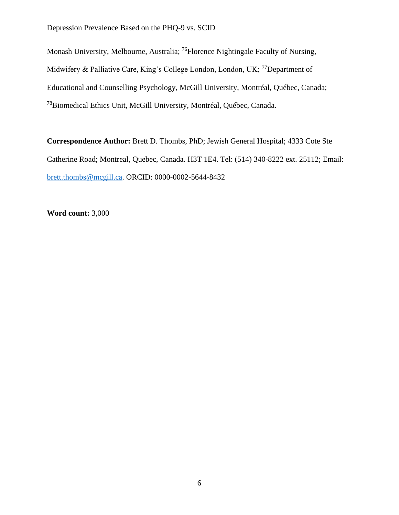Monash University, Melbourne, Australia; <sup>76</sup>Florence Nightingale Faculty of Nursing, Midwifery & Palliative Care, King's College London, London, UK; <sup>77</sup>Department of Educational and Counselling Psychology, McGill University, Montréal, Québec, Canada; <sup>78</sup>Biomedical Ethics Unit, McGill University, Montréal, Québec, Canada.

**Correspondence Author:** Brett D. Thombs, PhD; Jewish General Hospital; 4333 Cote Ste Catherine Road; Montreal, Quebec, Canada. H3T 1E4. Tel: (514) 340-8222 ext. 25112; Email: [brett.thombs@mcgill.ca.](mailto:brett.thombs@mcgill.ca) ORCID: 0000-0002-5644-8432

**Word count:** 3,000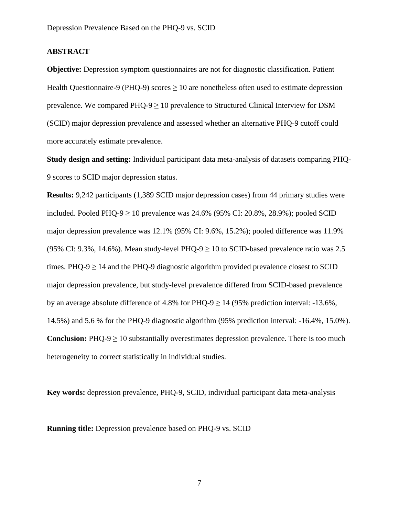## **ABSTRACT**

**Objective:** Depression symptom questionnaires are not for diagnostic classification. Patient Health Questionnaire-9 (PHQ-9) scores  $> 10$  are nonetheless often used to estimate depression prevalence. We compared  $PHQ-9 \ge 10$  prevalence to Structured Clinical Interview for DSM (SCID) major depression prevalence and assessed whether an alternative PHQ-9 cutoff could more accurately estimate prevalence.

**Study design and setting:** Individual participant data meta-analysis of datasets comparing PHQ-9 scores to SCID major depression status.

**Results:** 9,242 participants (1,389 SCID major depression cases) from 44 primary studies were included. Pooled PHQ-9  $\geq$  10 prevalence was 24.6% (95% CI: 20.8%, 28.9%); pooled SCID major depression prevalence was 12.1% (95% CI: 9.6%, 15.2%); pooled difference was 11.9% (95% CI: 9.3%, 14.6%). Mean study-level PHQ-9  $\geq$  10 to SCID-based prevalence ratio was 2.5 times. PHQ-9  $\geq$  14 and the PHQ-9 diagnostic algorithm provided prevalence closest to SCID major depression prevalence, but study-level prevalence differed from SCID-based prevalence by an average absolute difference of 4.8% for PHQ-9  $\geq$  14 (95% prediction interval: -13.6%, 14.5%) and 5.6 % for the PHQ-9 diagnostic algorithm (95% prediction interval: -16.4%, 15.0%). **Conclusion:**  $PHO-9 \ge 10$  substantially overestimates depression prevalence. There is too much heterogeneity to correct statistically in individual studies.

**Key words:** depression prevalence, PHQ-9, SCID, individual participant data meta-analysis

**Running title:** Depression prevalence based on PHQ-9 vs. SCID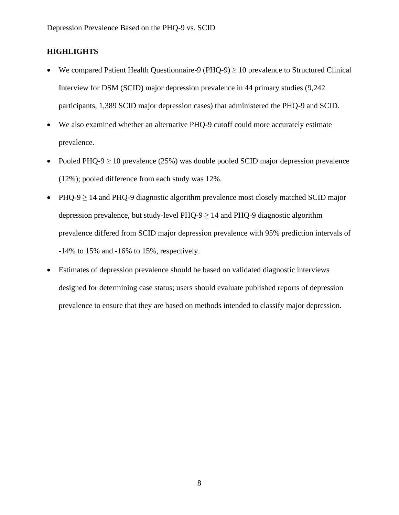## **HIGHLIGHTS**

- We compared Patient Health Questionnaire-9 (PHQ-9)  $\geq$  10 prevalence to Structured Clinical Interview for DSM (SCID) major depression prevalence in 44 primary studies (9,242 participants, 1,389 SCID major depression cases) that administered the PHQ-9 and SCID.
- We also examined whether an alternative PHQ-9 cutoff could more accurately estimate prevalence.
- Pooled PHQ-9  $\geq$  10 prevalence (25%) was double pooled SCID major depression prevalence (12%); pooled difference from each study was 12%.
- PHQ-9 ≥ 14 and PHQ-9 diagnostic algorithm prevalence most closely matched SCID major depression prevalence, but study-level PHQ-9  $\geq$  14 and PHQ-9 diagnostic algorithm prevalence differed from SCID major depression prevalence with 95% prediction intervals of -14% to 15% and -16% to 15%, respectively.
- Estimates of depression prevalence should be based on validated diagnostic interviews designed for determining case status; users should evaluate published reports of depression prevalence to ensure that they are based on methods intended to classify major depression.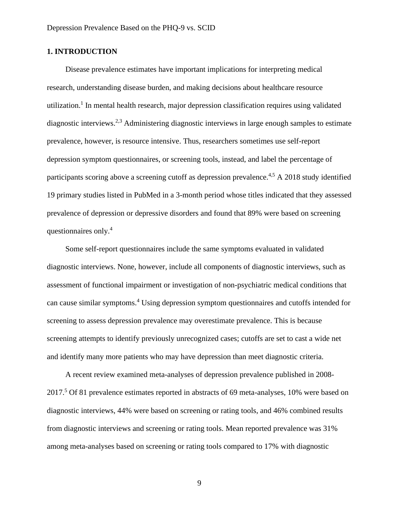## **1. INTRODUCTION**

Disease prevalence estimates have important implications for interpreting medical research, understanding disease burden, and making decisions about healthcare resource utilization.<sup>1</sup> In mental health research, major depression classification requires using validated diagnostic interviews.<sup>2,3</sup> Administering diagnostic interviews in large enough samples to estimate prevalence, however, is resource intensive. Thus, researchers sometimes use self-report depression symptom questionnaires, or screening tools, instead, and label the percentage of participants scoring above a screening cutoff as depression prevalence.<sup>4,5</sup> A 2018 study identified 19 primary studies listed in PubMed in a 3-month period whose titles indicated that they assessed prevalence of depression or depressive disorders and found that 89% were based on screening questionnaires only. 4

Some self-report questionnaires include the same symptoms evaluated in validated diagnostic interviews. None, however, include all components of diagnostic interviews, such as assessment of functional impairment or investigation of non-psychiatric medical conditions that can cause similar symptoms. <sup>4</sup> Using depression symptom questionnaires and cutoffs intended for screening to assess depression prevalence may overestimate prevalence. This is because screening attempts to identify previously unrecognized cases; cutoffs are set to cast a wide net and identify many more patients who may have depression than meet diagnostic criteria.

A recent review examined meta-analyses of depression prevalence published in 2008- 2017.<sup>5</sup> Of 81 prevalence estimates reported in abstracts of 69 meta-analyses, 10% were based on diagnostic interviews, 44% were based on screening or rating tools, and 46% combined results from diagnostic interviews and screening or rating tools. Mean reported prevalence was 31% among meta-analyses based on screening or rating tools compared to 17% with diagnostic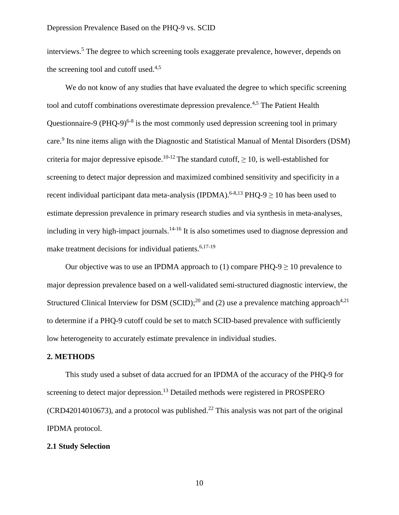interviews.<sup>5</sup> The degree to which screening tools exaggerate prevalence, however, depends on the screening tool and cutoff used.<sup>4,5</sup>

We do not know of any studies that have evaluated the degree to which specific screening tool and cutoff combinations overestimate depression prevalence.<sup>4,5</sup> The Patient Health Questionnaire-9 (PHQ-9) $6-8$  is the most commonly used depression screening tool in primary care.<sup>9</sup> Its nine items align with the Diagnostic and Statistical Manual of Mental Disorders (DSM) criteria for major depressive episode.<sup>10-12</sup> The standard cutoff,  $\geq 10$ , is well-established for screening to detect major depression and maximized combined sensitivity and specificity in a recent individual participant data meta-analysis (IPDMA).<sup>6-8,13</sup> PHQ-9  $\geq$  10 has been used to estimate depression prevalence in primary research studies and via synthesis in meta-analyses, including in very high-impact journals.<sup>14-16</sup> It is also sometimes used to diagnose depression and make treatment decisions for individual patients.<sup>6,17-19</sup>

Our objective was to use an IPDMA approach to (1) compare  $PHQ-9 \ge 10$  prevalence to major depression prevalence based on a well-validated semi-structured diagnostic interview, the Structured Clinical Interview for DSM (SCID);<sup>20</sup> and (2) use a prevalence matching approach<sup>4,21</sup> to determine if a PHQ-9 cutoff could be set to match SCID-based prevalence with sufficiently low heterogeneity to accurately estimate prevalence in individual studies.

#### **2. METHODS**

This study used a subset of data accrued for an IPDMA of the accuracy of the PHQ-9 for screening to detect major depression.<sup>13</sup> Detailed methods were registered in PROSPERO  $(CRD42014010673)$ , and a protocol was published.<sup>22</sup> This analysis was not part of the original IPDMA protocol.

#### **2.1 Study Selection**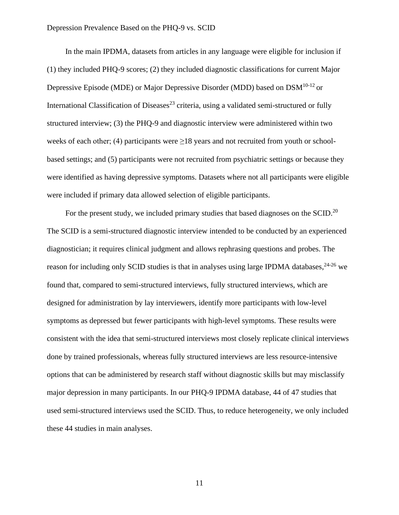In the main IPDMA, datasets from articles in any language were eligible for inclusion if (1) they included PHQ-9 scores; (2) they included diagnostic classifications for current Major Depressive Episode (MDE) or Major Depressive Disorder (MDD) based on DSM10-12 or International Classification of Diseases<sup>23</sup> criteria, using a validated semi-structured or fully structured interview; (3) the PHQ-9 and diagnostic interview were administered within two weeks of each other; (4) participants were  $\geq 18$  years and not recruited from youth or schoolbased settings; and (5) participants were not recruited from psychiatric settings or because they were identified as having depressive symptoms. Datasets where not all participants were eligible were included if primary data allowed selection of eligible participants.

For the present study, we included primary studies that based diagnoses on the SCID.<sup>20</sup> The SCID is a semi-structured diagnostic interview intended to be conducted by an experienced diagnostician; it requires clinical judgment and allows rephrasing questions and probes. The reason for including only SCID studies is that in analyses using large IPDMA databases, <sup>24-26</sup> we found that, compared to semi-structured interviews, fully structured interviews, which are designed for administration by lay interviewers, identify more participants with low-level symptoms as depressed but fewer participants with high-level symptoms. These results were consistent with the idea that semi-structured interviews most closely replicate clinical interviews done by trained professionals, whereas fully structured interviews are less resource-intensive options that can be administered by research staff without diagnostic skills but may misclassify major depression in many participants. In our PHQ-9 IPDMA database, 44 of 47 studies that used semi-structured interviews used the SCID. Thus, to reduce heterogeneity, we only included these 44 studies in main analyses.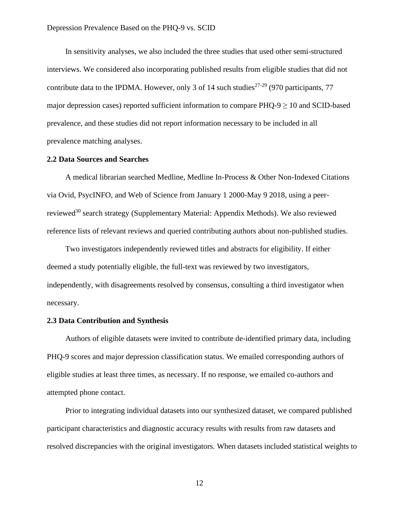In sensitivity analyses, we also included the three studies that used other semi-structured interviews. We considered also incorporating published results from eligible studies that did not contribute data to the IPDMA. However, only 3 of 14 such studies<sup>27-29</sup> (970 participants, 77 major depression cases) reported sufficient information to compare  $PHQ-9 \ge 10$  and SCID-based prevalence, and these studies did not report information necessary to be included in all prevalence matching analyses.

#### **2.2 Data Sources and Searches**

A medical librarian searched Medline, Medline In-Process & Other Non-Indexed Citations via Ovid, PsycINFO, and Web of Science from January 1 2000-May 9 2018, using a peerreviewed<sup>30</sup> search strategy (Supplementary Material: Appendix Methods). We also reviewed reference lists of relevant reviews and queried contributing authors about non-published studies.

Two investigators independently reviewed titles and abstracts for eligibility. If either deemed a study potentially eligible, the full-text was reviewed by two investigators, independently, with disagreements resolved by consensus, consulting a third investigator when necessary.

#### **2.3 Data Contribution and Synthesis**

Authors of eligible datasets were invited to contribute de-identified primary data, including PHQ-9 scores and major depression classification status. We emailed corresponding authors of eligible studies at least three times, as necessary. If no response, we emailed co-authors and attempted phone contact.

Prior to integrating individual datasets into our synthesized dataset, we compared published participant characteristics and diagnostic accuracy results with results from raw datasets and resolved discrepancies with the original investigators. When datasets included statistical weights to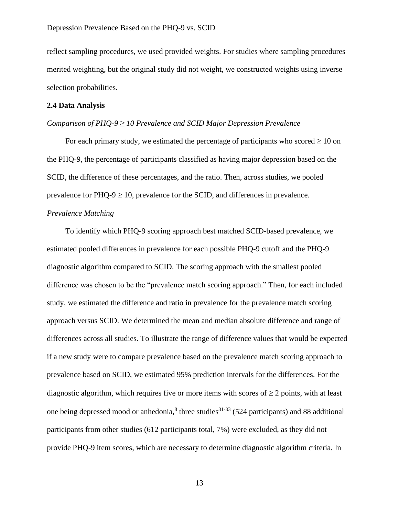reflect sampling procedures, we used provided weights. For studies where sampling procedures merited weighting, but the original study did not weight, we constructed weights using inverse selection probabilities.

#### **2.4 Data Analysis**

## *Comparison of PHQ-9 ≥ 10 Prevalence and SCID Major Depression Prevalence*

For each primary study, we estimated the percentage of participants who scored  $\geq 10$  on the PHQ-9, the percentage of participants classified as having major depression based on the SCID, the difference of these percentages, and the ratio. Then, across studies, we pooled prevalence for  $PHQ-9 \ge 10$ , prevalence for the SCID, and differences in prevalence.

## *Prevalence Matching*

To identify which PHQ-9 scoring approach best matched SCID-based prevalence, we estimated pooled differences in prevalence for each possible PHQ-9 cutoff and the PHQ-9 diagnostic algorithm compared to SCID. The scoring approach with the smallest pooled difference was chosen to be the "prevalence match scoring approach." Then, for each included study, we estimated the difference and ratio in prevalence for the prevalence match scoring approach versus SCID. We determined the mean and median absolute difference and range of differences across all studies. To illustrate the range of difference values that would be expected if a new study were to compare prevalence based on the prevalence match scoring approach to prevalence based on SCID, we estimated 95% prediction intervals for the differences. For the diagnostic algorithm, which requires five or more items with scores of  $\geq 2$  points, with at least one being depressed mood or anhedonia, $8$  three studies<sup>31-33</sup> (524 participants) and 88 additional participants from other studies (612 participants total, 7%) were excluded, as they did not provide PHQ-9 item scores, which are necessary to determine diagnostic algorithm criteria. In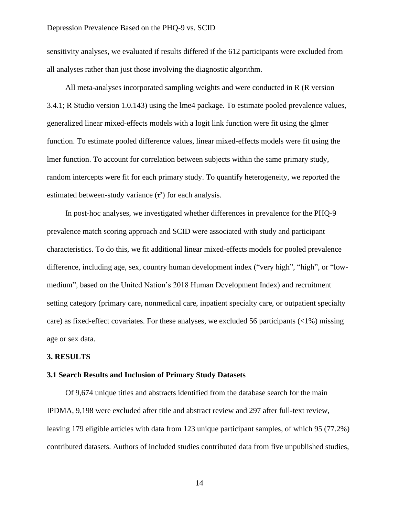sensitivity analyses, we evaluated if results differed if the 612 participants were excluded from all analyses rather than just those involving the diagnostic algorithm.

All meta-analyses incorporated sampling weights and were conducted in R (R version 3.4.1; R Studio version 1.0.143) using the lme4 package. To estimate pooled prevalence values, generalized linear mixed-effects models with a logit link function were fit using the glmer function. To estimate pooled difference values, linear mixed-effects models were fit using the lmer function. To account for correlation between subjects within the same primary study, random intercepts were fit for each primary study. To quantify heterogeneity, we reported the estimated between-study variance  $(\tau^2)$  for each analysis.

In post-hoc analyses, we investigated whether differences in prevalence for the PHQ-9 prevalence match scoring approach and SCID were associated with study and participant characteristics. To do this, we fit additional linear mixed-effects models for pooled prevalence difference, including age, sex, country human development index ("very high", "high", or "lowmedium", based on the United Nation's 2018 Human Development Index) and recruitment setting category (primary care, nonmedical care, inpatient specialty care, or outpatient specialty care) as fixed-effect covariates. For these analyses, we excluded 56 participants (<1%) missing age or sex data.

#### **3. RESULTS**

#### **3.1 Search Results and Inclusion of Primary Study Datasets**

Of 9,674 unique titles and abstracts identified from the database search for the main IPDMA, 9,198 were excluded after title and abstract review and 297 after full-text review, leaving 179 eligible articles with data from 123 unique participant samples, of which 95 (77.2%) contributed datasets. Authors of included studies contributed data from five unpublished studies,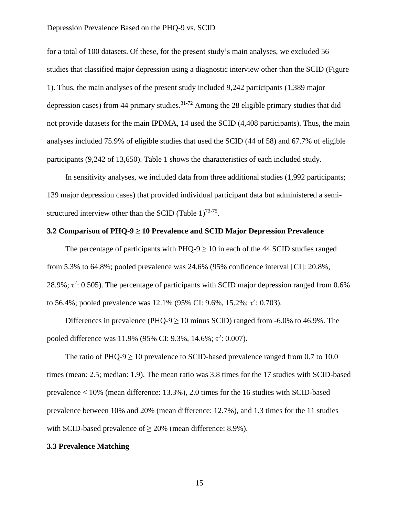for a total of 100 datasets. Of these, for the present study's main analyses, we excluded 56 studies that classified major depression using a diagnostic interview other than the SCID (Figure 1). Thus, the main analyses of the present study included 9,242 participants (1,389 major depression cases) from 44 primary studies.<sup>31-72</sup> Among the 28 eligible primary studies that did not provide datasets for the main IPDMA, 14 used the SCID (4,408 participants). Thus, the main analyses included 75.9% of eligible studies that used the SCID (44 of 58) and 67.7% of eligible participants (9,242 of 13,650). Table 1 shows the characteristics of each included study.

In sensitivity analyses, we included data from three additional studies (1,992 participants; 139 major depression cases) that provided individual participant data but administered a semistructured interview other than the SCID (Table  $1$ )<sup>73-75</sup>.

#### **3.2 Comparison of PHQ-9 ≥ 10 Prevalence and SCID Major Depression Prevalence**

The percentage of participants with  $PHQ-9 \ge 10$  in each of the 44 SCID studies ranged from 5.3% to 64.8%; pooled prevalence was 24.6% (95% confidence interval [CI]: 20.8%, 28.9%;  $\tau^2$ : 0.505). The percentage of participants with SCID major depression ranged from 0.6% to 56.4%; pooled prevalence was 12.1% (95% CI: 9.6%, 15.2%;  $\tau^2$ : 0.703).

Differences in prevalence (PHQ-9  $\geq$  10 minus SCID) ranged from -6.0% to 46.9%. The pooled difference was 11.9% (95% CI: 9.3%, 14.6%;  $\tau^2$ : 0.007).

The ratio of PHQ-9  $\geq$  10 prevalence to SCID-based prevalence ranged from 0.7 to 10.0 times (mean: 2.5; median: 1.9). The mean ratio was 3.8 times for the 17 studies with SCID-based prevalence < 10% (mean difference: 13.3%), 2.0 times for the 16 studies with SCID-based prevalence between 10% and 20% (mean difference: 12.7%), and 1.3 times for the 11 studies with SCID-based prevalence of  $\geq$  20% (mean difference: 8.9%).

#### **3.3 Prevalence Matching**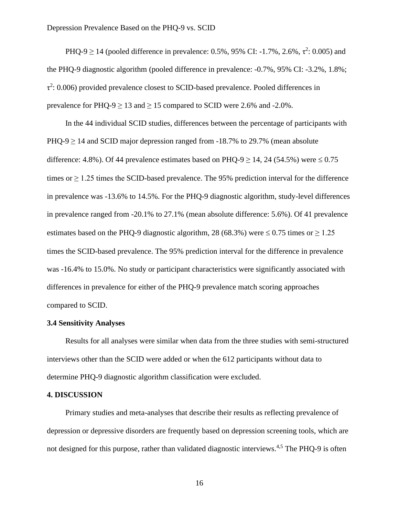PHQ-9  $\geq$  14 (pooled difference in prevalence: 0.5%, 95% CI: -1.7%, 2.6%,  $\tau^2$ : 0.005) and the PHQ-9 diagnostic algorithm (pooled difference in prevalence: -0.7%, 95% CI: -3.2%, 1.8%;  $\tau^2$ : 0.006) provided prevalence closest to SCID-based prevalence. Pooled differences in prevalence for PHQ-9  $\geq$  13 and  $\geq$  15 compared to SCID were 2.6% and -2.0%.

In the 44 individual SCID studies, differences between the percentage of participants with  $PHO-9 \ge 14$  and SCID major depression ranged from  $-18.7\%$  to 29.7% (mean absolute difference: 4.8%). Of 44 prevalence estimates based on PHQ-9  $\geq$  14, 24 (54.5%) were  $\leq$  0.75 times or  $\geq$  1.25 times the SCID-based prevalence. The 95% prediction interval for the difference in prevalence was -13.6% to 14.5%. For the PHQ-9 diagnostic algorithm, study-level differences in prevalence ranged from -20.1% to 27.1% (mean absolute difference: 5.6%). Of 41 prevalence estimates based on the PHQ-9 diagnostic algorithm, 28 (68.3%) were  $\leq 0.75$  times or  $\geq 1.25$ times the SCID-based prevalence. The 95% prediction interval for the difference in prevalence was -16.4% to 15.0%. No study or participant characteristics were significantly associated with differences in prevalence for either of the PHQ-9 prevalence match scoring approaches compared to SCID.

#### **3.4 Sensitivity Analyses**

Results for all analyses were similar when data from the three studies with semi-structured interviews other than the SCID were added or when the 612 participants without data to determine PHQ-9 diagnostic algorithm classification were excluded.

#### **4. DISCUSSION**

Primary studies and meta-analyses that describe their results as reflecting prevalence of depression or depressive disorders are frequently based on depression screening tools, which are not designed for this purpose, rather than validated diagnostic interviews.<sup>4,5</sup> The PHQ-9 is often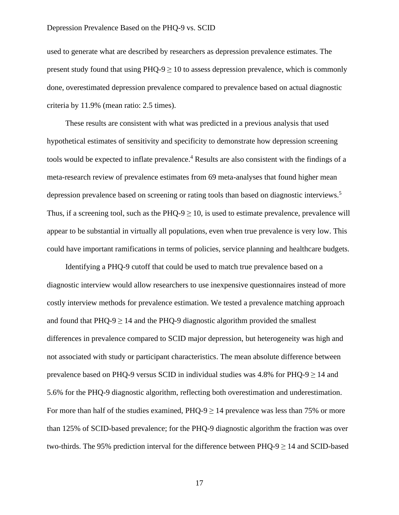used to generate what are described by researchers as depression prevalence estimates. The present study found that using  $PHQ-9 \ge 10$  to assess depression prevalence, which is commonly done, overestimated depression prevalence compared to prevalence based on actual diagnostic criteria by 11.9% (mean ratio: 2.5 times).

These results are consistent with what was predicted in a previous analysis that used hypothetical estimates of sensitivity and specificity to demonstrate how depression screening tools would be expected to inflate prevalence. <sup>4</sup> Results are also consistent with the findings of a meta-research review of prevalence estimates from 69 meta-analyses that found higher mean depression prevalence based on screening or rating tools than based on diagnostic interviews.<sup>5</sup> Thus, if a screening tool, such as the PHQ-9  $\geq$  10, is used to estimate prevalence, prevalence will appear to be substantial in virtually all populations, even when true prevalence is very low. This could have important ramifications in terms of policies, service planning and healthcare budgets.

Identifying a PHQ-9 cutoff that could be used to match true prevalence based on a diagnostic interview would allow researchers to use inexpensive questionnaires instead of more costly interview methods for prevalence estimation. We tested a prevalence matching approach and found that  $PHO-9 \ge 14$  and the PHQ-9 diagnostic algorithm provided the smallest differences in prevalence compared to SCID major depression, but heterogeneity was high and not associated with study or participant characteristics. The mean absolute difference between prevalence based on PHQ-9 versus SCID in individual studies was 4.8% for PHQ-9  $\geq$  14 and 5.6% for the PHQ-9 diagnostic algorithm, reflecting both overestimation and underestimation. For more than half of the studies examined,  $PHQ-9 \ge 14$  prevalence was less than 75% or more than 125% of SCID-based prevalence; for the PHQ-9 diagnostic algorithm the fraction was over two-thirds. The 95% prediction interval for the difference between  $PHQ-9 \ge 14$  and SCID-based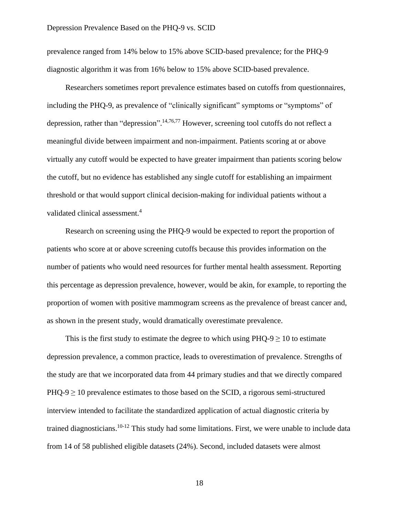prevalence ranged from 14% below to 15% above SCID-based prevalence; for the PHQ-9 diagnostic algorithm it was from 16% below to 15% above SCID-based prevalence.

Researchers sometimes report prevalence estimates based on cutoffs from questionnaires, including the PHQ-9, as prevalence of "clinically significant" symptoms or "symptoms" of depression, rather than "depression". 14,76,77 However, screening tool cutoffs do not reflect a meaningful divide between impairment and non-impairment. Patients scoring at or above virtually any cutoff would be expected to have greater impairment than patients scoring below the cutoff, but no evidence has established any single cutoff for establishing an impairment threshold or that would support clinical decision-making for individual patients without a validated clinical assessment. 4

Research on screening using the PHQ-9 would be expected to report the proportion of patients who score at or above screening cutoffs because this provides information on the number of patients who would need resources for further mental health assessment. Reporting this percentage as depression prevalence, however, would be akin, for example, to reporting the proportion of women with positive mammogram screens as the prevalence of breast cancer and, as shown in the present study, would dramatically overestimate prevalence.

This is the first study to estimate the degree to which using  $PHO-9 \ge 10$  to estimate depression prevalence, a common practice, leads to overestimation of prevalence. Strengths of the study are that we incorporated data from 44 primary studies and that we directly compared  $PHQ-9 \ge 10$  prevalence estimates to those based on the SCID, a rigorous semi-structured interview intended to facilitate the standardized application of actual diagnostic criteria by trained diagnosticians.<sup>10-12</sup> This study had some limitations. First, we were unable to include data from 14 of 58 published eligible datasets (24%). Second, included datasets were almost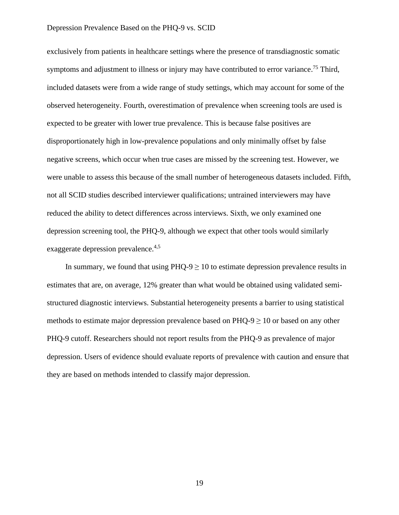exclusively from patients in healthcare settings where the presence of transdiagnostic somatic symptoms and adjustment to illness or injury may have contributed to error variance.<sup>75</sup> Third, included datasets were from a wide range of study settings, which may account for some of the observed heterogeneity. Fourth, overestimation of prevalence when screening tools are used is expected to be greater with lower true prevalence. This is because false positives are disproportionately high in low-prevalence populations and only minimally offset by false negative screens, which occur when true cases are missed by the screening test. However, we were unable to assess this because of the small number of heterogeneous datasets included. Fifth, not all SCID studies described interviewer qualifications; untrained interviewers may have reduced the ability to detect differences across interviews. Sixth, we only examined one depression screening tool, the PHQ-9, although we expect that other tools would similarly exaggerate depression prevalence.<sup>4,5</sup>

In summary, we found that using  $PHQ-9 \ge 10$  to estimate depression prevalence results in estimates that are, on average, 12% greater than what would be obtained using validated semistructured diagnostic interviews. Substantial heterogeneity presents a barrier to using statistical methods to estimate major depression prevalence based on PHQ-9  $\geq$  10 or based on any other PHQ-9 cutoff. Researchers should not report results from the PHQ-9 as prevalence of major depression. Users of evidence should evaluate reports of prevalence with caution and ensure that they are based on methods intended to classify major depression.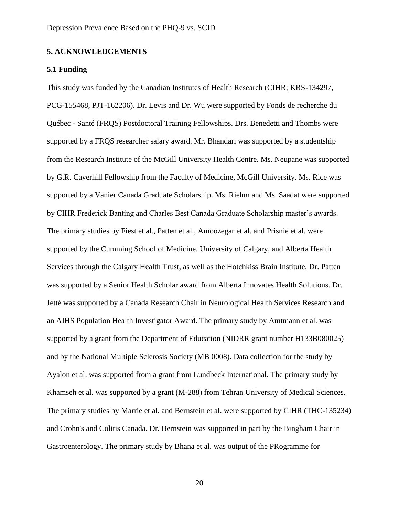### **5. ACKNOWLEDGEMENTS**

### **5.1 Funding**

This study was funded by the Canadian Institutes of Health Research (CIHR; KRS-134297, PCG-155468, PJT-162206). Dr. Levis and Dr. Wu were supported by Fonds de recherche du Québec - Santé (FRQS) Postdoctoral Training Fellowships. Drs. Benedetti and Thombs were supported by a FRQS researcher salary award. Mr. Bhandari was supported by a studentship from the Research Institute of the McGill University Health Centre. Ms. Neupane was supported by G.R. Caverhill Fellowship from the Faculty of Medicine, McGill University. Ms. Rice was supported by a Vanier Canada Graduate Scholarship. Ms. Riehm and Ms. Saadat were supported by CIHR Frederick Banting and Charles Best Canada Graduate Scholarship master's awards. The primary studies by Fiest et al., Patten et al., Amoozegar et al. and Prisnie et al. were supported by the Cumming School of Medicine, University of Calgary, and Alberta Health Services through the Calgary Health Trust, as well as the Hotchkiss Brain Institute. Dr. Patten was supported by a Senior Health Scholar award from Alberta Innovates Health Solutions. Dr. Jetté was supported by a Canada Research Chair in Neurological Health Services Research and an AIHS Population Health Investigator Award. The primary study by Amtmann et al. was supported by a grant from the Department of Education (NIDRR grant number H133B080025) and by the National Multiple Sclerosis Society (MB 0008). Data collection for the study by Ayalon et al. was supported from a grant from Lundbeck International. The primary study by Khamseh et al. was supported by a grant (M-288) from Tehran University of Medical Sciences. The primary studies by Marrie et al. and Bernstein et al. were supported by CIHR (THC-135234) and Crohn's and Colitis Canada. Dr. Bernstein was supported in part by the Bingham Chair in Gastroenterology. The primary study by Bhana et al. was output of the PRogramme for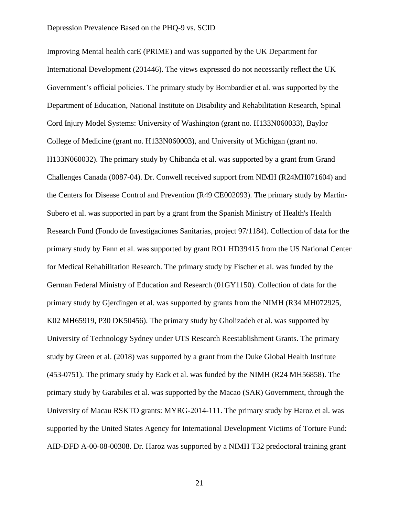Improving Mental health carE (PRIME) and was supported by the UK Department for International Development (201446). The views expressed do not necessarily reflect the UK Government's official policies. The primary study by Bombardier et al. was supported by the Department of Education, National Institute on Disability and Rehabilitation Research, Spinal Cord Injury Model Systems: University of Washington (grant no. H133N060033), Baylor College of Medicine (grant no. H133N060003), and University of Michigan (grant no. H133N060032). The primary study by Chibanda et al. was supported by a grant from Grand Challenges Canada (0087-04). Dr. Conwell received support from NIMH (R24MH071604) and the Centers for Disease Control and Prevention (R49 CE002093). The primary study by Martin-Subero et al. was supported in part by a grant from the Spanish Ministry of Health's Health Research Fund (Fondo de Investigaciones Sanitarias, project 97/1184). Collection of data for the primary study by Fann et al. was supported by grant RO1 HD39415 from the US National Center for Medical Rehabilitation Research. The primary study by Fischer et al. was funded by the German Federal Ministry of Education and Research (01GY1150). Collection of data for the primary study by Gjerdingen et al. was supported by grants from the NIMH (R34 MH072925, K02 MH65919, P30 DK50456). The primary study by Gholizadeh et al. was supported by University of Technology Sydney under UTS Research Reestablishment Grants. The primary study by Green et al. (2018) was supported by a grant from the Duke Global Health Institute (453-0751). The primary study by Eack et al. was funded by the NIMH (R24 MH56858). The primary study by Garabiles et al. was supported by the Macao (SAR) Government, through the University of Macau RSKTO grants: MYRG-2014-111. The primary study by Haroz et al. was supported by the United States Agency for International Development Victims of Torture Fund: AID-DFD A-00-08-00308. Dr. Haroz was supported by a NIMH T32 predoctoral training grant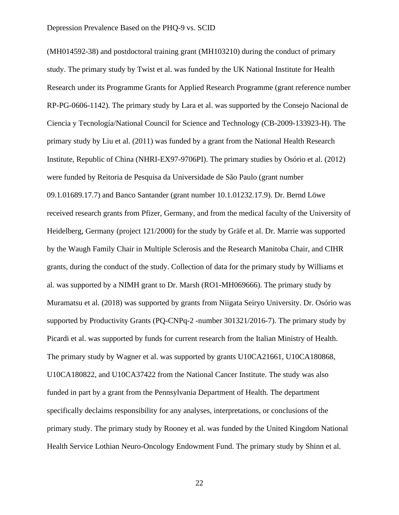(MH014592-38) and postdoctoral training grant (MH103210) during the conduct of primary study. The primary study by Twist et al. was funded by the UK National Institute for Health Research under its Programme Grants for Applied Research Programme (grant reference number RP-PG-0606-1142). The primary study by Lara et al. was supported by the Consejo Nacional de Ciencia y Tecnología/National Council for Science and Technology (CB-2009-133923-H). The primary study by Liu et al. (2011) was funded by a grant from the National Health Research Institute, Republic of China (NHRI-EX97-9706PI). The primary studies by Osório et al. (2012) were funded by Reitoria de Pesquisa da Universidade de São Paulo (grant number 09.1.01689.17.7) and Banco Santander (grant number 10.1.01232.17.9). Dr. Bernd Löwe received research grants from Pfizer, Germany, and from the medical faculty of the University of Heidelberg, Germany (project 121/2000) for the study by Gräfe et al. Dr. Marrie was supported by the Waugh Family Chair in Multiple Sclerosis and the Research Manitoba Chair, and CIHR grants, during the conduct of the study. Collection of data for the primary study by Williams et al. was supported by a NIMH grant to Dr. Marsh (RO1-MH069666). The primary study by Muramatsu et al. (2018) was supported by grants from Niigata Seiryo University. Dr. Osório was supported by Productivity Grants (PQ-CNPq-2 -number 301321/2016-7). The primary study by Picardi et al. was supported by funds for current research from the Italian Ministry of Health. The primary study by Wagner et al. was supported by grants U10CA21661, U10CA180868, U10CA180822, and U10CA37422 from the National Cancer Institute. The study was also funded in part by a grant from the Pennsylvania Department of Health. The department specifically declaims responsibility for any analyses, interpretations, or conclusions of the primary study. The primary study by Rooney et al. was funded by the United Kingdom National Health Service Lothian Neuro-Oncology Endowment Fund. The primary study by Shinn et al.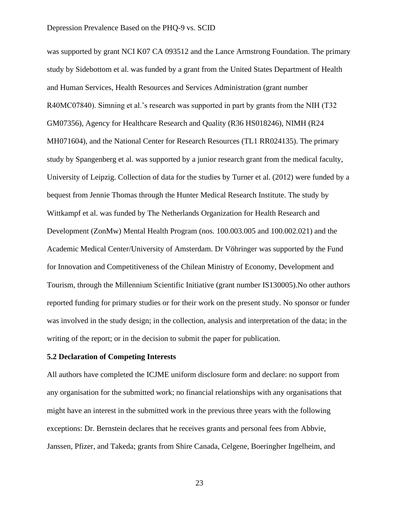was supported by grant NCI K07 CA 093512 and the Lance Armstrong Foundation. The primary study by Sidebottom et al. was funded by a grant from the United States Department of Health and Human Services, Health Resources and Services Administration (grant number R40MC07840). Simning et al.'s research was supported in part by grants from the NIH (T32 GM07356), Agency for Healthcare Research and Quality (R36 HS018246), NIMH (R24 MH071604), and the National Center for Research Resources (TL1 RR024135). The primary study by Spangenberg et al. was supported by a junior research grant from the medical faculty, University of Leipzig. Collection of data for the studies by Turner et al. (2012) were funded by a bequest from Jennie Thomas through the Hunter Medical Research Institute. The study by Wittkampf et al. was funded by The Netherlands Organization for Health Research and Development (ZonMw) Mental Health Program (nos. 100.003.005 and 100.002.021) and the Academic Medical Center/University of Amsterdam. Dr Vöhringer was supported by the Fund for Innovation and Competitiveness of the Chilean Ministry of Economy, Development and Tourism, through the Millennium Scientific Initiative (grant number IS130005).No other authors reported funding for primary studies or for their work on the present study. No sponsor or funder was involved in the study design; in the collection, analysis and interpretation of the data; in the writing of the report; or in the decision to submit the paper for publication.

#### **5.2 Declaration of Competing Interests**

All authors have completed the ICJME uniform disclosure form and declare: no support from any organisation for the submitted work; no financial relationships with any organisations that might have an interest in the submitted work in the previous three years with the following exceptions: Dr. Bernstein declares that he receives grants and personal fees from Abbvie, Janssen, Pfizer, and Takeda; grants from Shire Canada, Celgene, Boeringher Ingelheim, and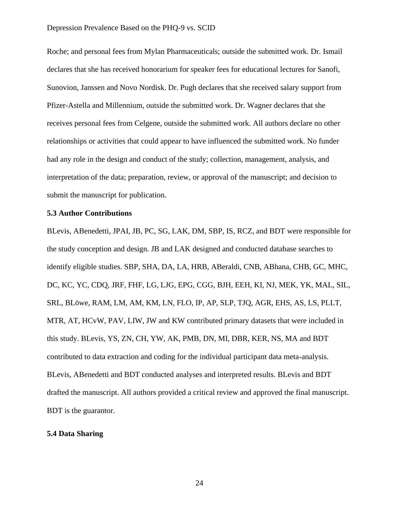Roche; and personal fees from Mylan Pharmaceuticals; outside the submitted work. Dr. Ismail declares that she has received honorarium for speaker fees for educational lectures for Sanofi, Sunovion, Janssen and Novo Nordisk. Dr. Pugh declares that she received salary support from Pfizer-Astella and Millennium, outside the submitted work. Dr. Wagner declares that she receives personal fees from Celgene, outside the submitted work. All authors declare no other relationships or activities that could appear to have influenced the submitted work. No funder had any role in the design and conduct of the study; collection, management, analysis, and interpretation of the data; preparation, review, or approval of the manuscript; and decision to submit the manuscript for publication.

#### **5.3 Author Contributions**

BLevis, ABenedetti, JPAI, JB, PC, SG, LAK, DM, SBP, IS, RCZ, and BDT were responsible for the study conception and design. JB and LAK designed and conducted database searches to identify eligible studies. SBP, SHA, DA, LA, HRB, ABeraldi, CNB, ABhana, CHB, GC, MHC, DC, KC, YC, CDQ, JRF, FHF, LG, LJG, EPG, CGG, BJH, EEH, KI, NJ, MEK, YK, MAL, SIL, SRL, BLöwe, RAM, LM, AM, KM, LN, FLO, IP, AP, SLP, TJQ, AGR, EHS, AS, LS, PLLT, MTR, AT, HCvW, PAV, LIW, JW and KW contributed primary datasets that were included in this study. BLevis, YS, ZN, CH, YW, AK, PMB, DN, MI, DBR, KER, NS, MA and BDT contributed to data extraction and coding for the individual participant data meta-analysis. BLevis, ABenedetti and BDT conducted analyses and interpreted results. BLevis and BDT drafted the manuscript. All authors provided a critical review and approved the final manuscript. BDT is the guarantor.

## **5.4 Data Sharing**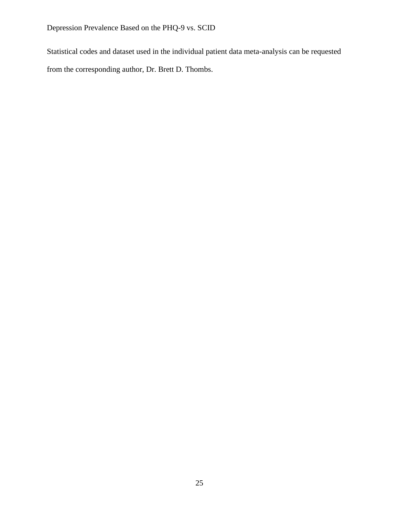Statistical codes and dataset used in the individual patient data meta-analysis can be requested from the corresponding author, Dr. Brett D. Thombs.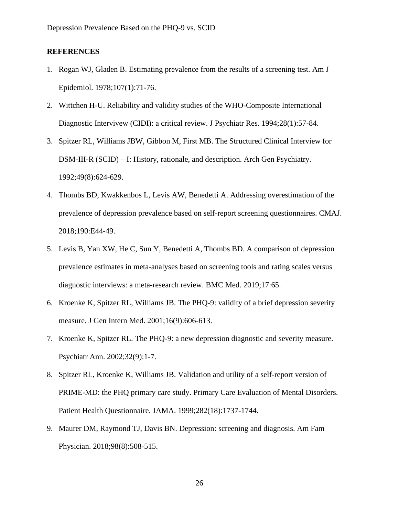## **REFERENCES**

- 1. Rogan WJ, Gladen B. Estimating prevalence from the results of a screening test. Am J Epidemiol. 1978;107(1):71-76.
- 2. Wittchen H-U. Reliability and validity studies of the WHO-Composite International Diagnostic Intervivew (CIDI): a critical review. J Psychiatr Res. 1994;28(1):57-84.
- 3. Spitzer RL, Williams JBW, Gibbon M, First MB. The Structured Clinical Interview for DSM-III-R (SCID) – I: History, rationale, and description. Arch Gen Psychiatry. 1992;49(8):624-629.
- 4. Thombs BD, Kwakkenbos L, Levis AW, Benedetti A. Addressing overestimation of the prevalence of depression prevalence based on self-report screening questionnaires. CMAJ. 2018;190:E44-49.
- 5. Levis B, Yan XW, He C, Sun Y, Benedetti A, Thombs BD. A comparison of depression prevalence estimates in meta-analyses based on screening tools and rating scales versus diagnostic interviews: a meta-research review. BMC Med. 2019;17:65.
- 6. Kroenke K, Spitzer RL, Williams JB. The PHQ-9: validity of a brief depression severity measure. J Gen Intern Med. 2001;16(9):606-613.
- 7. Kroenke K, Spitzer RL. The PHQ-9: a new depression diagnostic and severity measure. Psychiatr Ann. 2002;32(9):1-7.
- 8. Spitzer RL, Kroenke K, Williams JB. Validation and utility of a self-report version of PRIME-MD: the PHQ primary care study. Primary Care Evaluation of Mental Disorders. Patient Health Questionnaire. JAMA. 1999;282(18):1737-1744.
- 9. Maurer DM, Raymond TJ, Davis BN. Depression: screening and diagnosis. Am Fam Physician. 2018;98(8):508-515.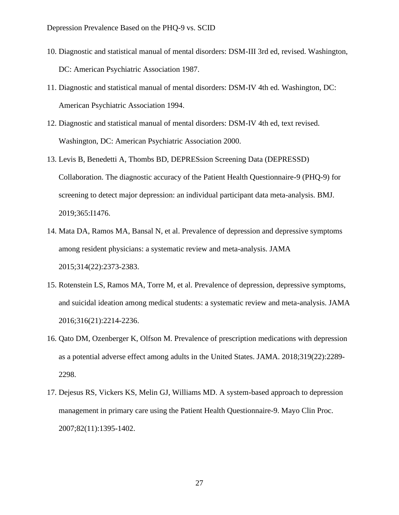- 10. Diagnostic and statistical manual of mental disorders: DSM-III 3rd ed, revised. Washington, DC: American Psychiatric Association 1987.
- 11. Diagnostic and statistical manual of mental disorders: DSM-IV 4th ed. Washington, DC: American Psychiatric Association 1994.
- 12. Diagnostic and statistical manual of mental disorders: DSM-IV 4th ed, text revised. Washington, DC: American Psychiatric Association 2000.
- 13. Levis B, Benedetti A, Thombs BD, DEPRESsion Screening Data (DEPRESSD) Collaboration. The diagnostic accuracy of the Patient Health Questionnaire-9 (PHQ-9) for screening to detect major depression: an individual participant data meta-analysis. BMJ. 2019;365:I1476.
- 14. Mata DA, Ramos MA, Bansal N, et al. Prevalence of depression and depressive symptoms among resident physicians: a systematic review and meta-analysis. JAMA 2015;314(22):2373-2383.
- 15. Rotenstein LS, Ramos MA, Torre M, et al. Prevalence of depression, depressive symptoms, and suicidal ideation among medical students: a systematic review and meta-analysis. JAMA 2016;316(21):2214-2236.
- 16. Qato DM, Ozenberger K, Olfson M. Prevalence of prescription medications with depression as a potential adverse effect among adults in the United States. JAMA. 2018;319(22):2289- 2298.
- 17. Dejesus RS, Vickers KS, Melin GJ, Williams MD. A system-based approach to depression management in primary care using the Patient Health Questionnaire-9. Mayo Clin Proc. 2007;82(11):1395-1402.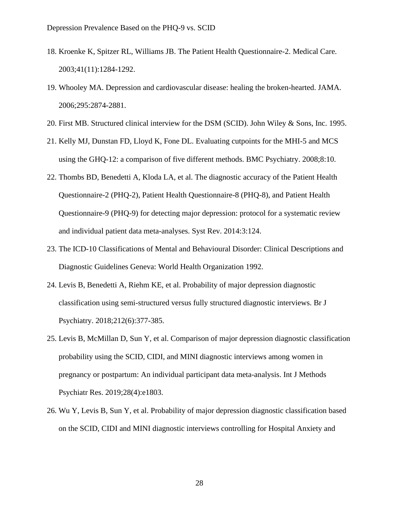- 18. Kroenke K, Spitzer RL, Williams JB. The Patient Health Questionnaire-2. Medical Care. 2003;41(11):1284-1292.
- 19. Whooley MA. Depression and cardiovascular disease: healing the broken-hearted. JAMA. 2006;295:2874-2881.
- 20. First MB. Structured clinical interview for the DSM (SCID). John Wiley & Sons, Inc. 1995.
- 21. Kelly MJ, Dunstan FD, Lloyd K, Fone DL. Evaluating cutpoints for the MHI-5 and MCS using the GHQ-12: a comparison of five different methods. BMC Psychiatry. 2008;8:10.
- 22. Thombs BD, Benedetti A, Kloda LA, et al. The diagnostic accuracy of the Patient Health Questionnaire-2 (PHQ-2), Patient Health Questionnaire-8 (PHQ-8), and Patient Health Questionnaire-9 (PHQ-9) for detecting major depression: protocol for a systematic review and individual patient data meta-analyses. Syst Rev. 2014:3:124.
- 23. The ICD-10 Classifications of Mental and Behavioural Disorder: Clinical Descriptions and Diagnostic Guidelines Geneva: World Health Organization 1992.
- 24. Levis B, Benedetti A, Riehm KE, et al. Probability of major depression diagnostic classification using semi-structured versus fully structured diagnostic interviews. Br J Psychiatry. 2018;212(6):377-385.
- 25. Levis B, McMillan D, Sun Y, et al. Comparison of major depression diagnostic classification probability using the SCID, CIDI, and MINI diagnostic interviews among women in pregnancy or postpartum: An individual participant data meta-analysis. Int J Methods Psychiatr Res. 2019;28(4):e1803.
- 26. Wu Y, Levis B, Sun Y, et al. Probability of major depression diagnostic classification based on the SCID, CIDI and MINI diagnostic interviews controlling for Hospital Anxiety and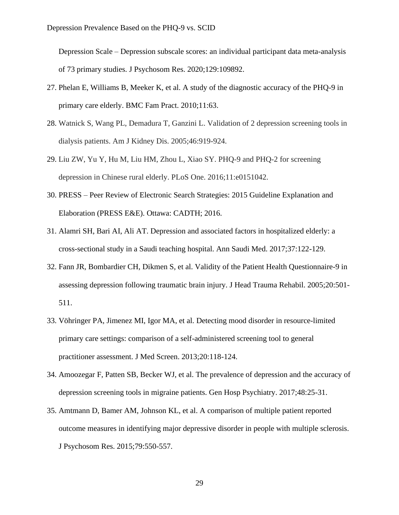Depression Scale – Depression subscale scores: an individual participant data meta-analysis of 73 primary studies. J Psychosom Res. 2020;129:109892.

- 27. Phelan E, Williams B, Meeker K, et al. A study of the diagnostic accuracy of the PHQ-9 in primary care elderly. BMC Fam Pract. 2010;11:63.
- 28. Watnick S, Wang PL, Demadura T, Ganzini L. Validation of 2 depression screening tools in dialysis patients. Am J Kidney Dis. 2005;46:919-924.
- 29. Liu ZW, Yu Y, Hu M, Liu HM, Zhou L, Xiao SY. PHQ-9 and PHQ-2 for screening depression in Chinese rural elderly. PLoS One. 2016;11:e0151042.
- 30. PRESS Peer Review of Electronic Search Strategies: 2015 Guideline Explanation and Elaboration (PRESS E&E). Ottawa: CADTH; 2016.
- 31. Alamri SH, Bari AI, Ali AT. Depression and associated factors in hospitalized elderly: a cross-sectional study in a Saudi teaching hospital. Ann Saudi Med. 2017;37:122-129.
- 32. Fann JR, Bombardier CH, Dikmen S, et al. Validity of the Patient Health Questionnaire-9 in assessing depression following traumatic brain injury. J Head Trauma Rehabil. 2005;20:501- 511.
- 33. Vöhringer PA, Jimenez MI, Igor MA, et al. Detecting mood disorder in resource-limited primary care settings: comparison of a self-administered screening tool to general practitioner assessment. J Med Screen. 2013;20:118-124.
- 34. Amoozegar F, Patten SB, Becker WJ, et al. The prevalence of depression and the accuracy of depression screening tools in migraine patients. Gen Hosp Psychiatry. 2017;48:25-31.
- 35. Amtmann D, Bamer AM, Johnson KL, et al. A comparison of multiple patient reported outcome measures in identifying major depressive disorder in people with multiple sclerosis. J Psychosom Res. 2015;79:550-557.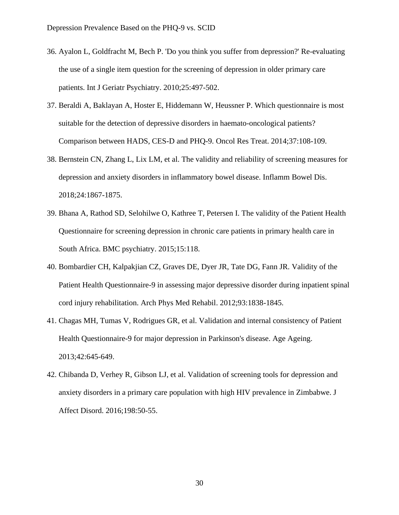- 36. Ayalon L, Goldfracht M, Bech P. 'Do you think you suffer from depression?' Re-evaluating the use of a single item question for the screening of depression in older primary care patients. Int J Geriatr Psychiatry. 2010;25:497-502.
- 37. Beraldi A, Baklayan A, Hoster E, Hiddemann W, Heussner P. Which questionnaire is most suitable for the detection of depressive disorders in haemato-oncological patients? Comparison between HADS, CES-D and PHQ-9. Oncol Res Treat. 2014;37:108-109.
- 38. Bernstein CN, Zhang L, Lix LM, et al. The validity and reliability of screening measures for depression and anxiety disorders in inflammatory bowel disease. Inflamm Bowel Dis. 2018;24:1867-1875.
- 39. Bhana A, Rathod SD, Selohilwe O, Kathree T, Petersen I. The validity of the Patient Health Questionnaire for screening depression in chronic care patients in primary health care in South Africa. BMC psychiatry. 2015;15:118.
- 40. Bombardier CH, Kalpakjian CZ, Graves DE, Dyer JR, Tate DG, Fann JR. Validity of the Patient Health Questionnaire-9 in assessing major depressive disorder during inpatient spinal cord injury rehabilitation. Arch Phys Med Rehabil. 2012;93:1838-1845.
- 41. Chagas MH, Tumas V, Rodrigues GR, et al. Validation and internal consistency of Patient Health Questionnaire-9 for major depression in Parkinson's disease. Age Ageing. 2013;42:645-649.
- 42. Chibanda D, Verhey R, Gibson LJ, et al. Validation of screening tools for depression and anxiety disorders in a primary care population with high HIV prevalence in Zimbabwe. J Affect Disord. 2016;198:50-55.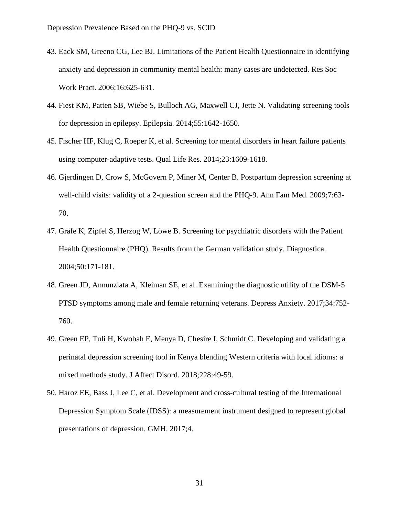- 43. Eack SM, Greeno CG, Lee BJ. Limitations of the Patient Health Questionnaire in identifying anxiety and depression in community mental health: many cases are undetected. Res Soc Work Pract. 2006;16:625-631.
- 44. Fiest KM, Patten SB, Wiebe S, Bulloch AG, Maxwell CJ, Jette N. Validating screening tools for depression in epilepsy. Epilepsia. 2014;55:1642-1650.
- 45. Fischer HF, Klug C, Roeper K, et al. Screening for mental disorders in heart failure patients using computer-adaptive tests. Qual Life Res. 2014;23:1609-1618.
- 46. Gjerdingen D, Crow S, McGovern P, Miner M, Center B. Postpartum depression screening at well-child visits: validity of a 2-question screen and the PHQ-9. Ann Fam Med. 2009;7:63- 70.
- 47. Gräfe K, Zipfel S, Herzog W, Löwe B. Screening for psychiatric disorders with the Patient Health Questionnaire (PHQ). Results from the German validation study. Diagnostica. 2004;50:171-181.
- 48. Green JD, Annunziata A, Kleiman SE, et al. Examining the diagnostic utility of the DSM‐5 PTSD symptoms among male and female returning veterans. Depress Anxiety. 2017;34:752- 760.
- 49. Green EP, Tuli H, Kwobah E, Menya D, Chesire I, Schmidt C. Developing and validating a perinatal depression screening tool in Kenya blending Western criteria with local idioms: a mixed methods study. J Affect Disord. 2018;228:49-59.
- 50. Haroz EE, Bass J, Lee C, et al. Development and cross-cultural testing of the International Depression Symptom Scale (IDSS): a measurement instrument designed to represent global presentations of depression. GMH. 2017;4.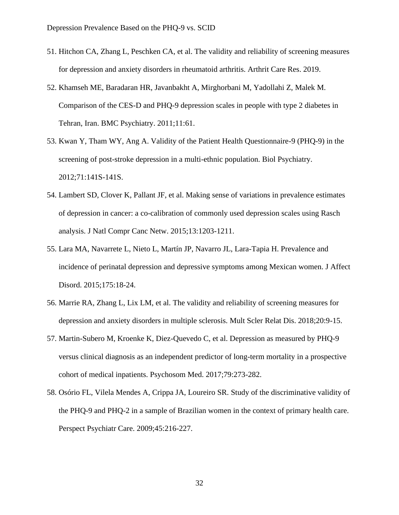- 51. Hitchon CA, Zhang L, Peschken CA, et al. The validity and reliability of screening measures for depression and anxiety disorders in rheumatoid arthritis. Arthrit Care Res. 2019.
- 52. Khamseh ME, Baradaran HR, Javanbakht A, Mirghorbani M, Yadollahi Z, Malek M. Comparison of the CES-D and PHQ-9 depression scales in people with type 2 diabetes in Tehran, Iran. BMC Psychiatry. 2011;11:61.
- 53. Kwan Y, Tham WY, Ang A. Validity of the Patient Health Questionnaire-9 (PHQ-9) in the screening of post-stroke depression in a multi-ethnic population. Biol Psychiatry. 2012;71:141S-141S.
- 54. Lambert SD, Clover K, Pallant JF, et al. Making sense of variations in prevalence estimates of depression in cancer: a co-calibration of commonly used depression scales using Rasch analysis. J Natl Compr Canc Netw. 2015;13:1203-1211.
- 55. Lara MA, Navarrete L, Nieto L, Martín JP, Navarro JL, Lara-Tapia H. Prevalence and incidence of perinatal depression and depressive symptoms among Mexican women. J Affect Disord. 2015;175:18-24.
- 56. Marrie RA, Zhang L, Lix LM, et al. The validity and reliability of screening measures for depression and anxiety disorders in multiple sclerosis. Mult Scler Relat Dis. 2018;20:9-15.
- 57. Martin-Subero M, Kroenke K, Diez-Quevedo C, et al. Depression as measured by PHQ-9 versus clinical diagnosis as an independent predictor of long-term mortality in a prospective cohort of medical inpatients. Psychosom Med. 2017;79:273-282.
- 58. Osório FL, Vilela Mendes A, Crippa JA, Loureiro SR. Study of the discriminative validity of the PHQ-9 and PHQ-2 in a sample of Brazilian women in the context of primary health care. Perspect Psychiatr Care. 2009;45:216-227.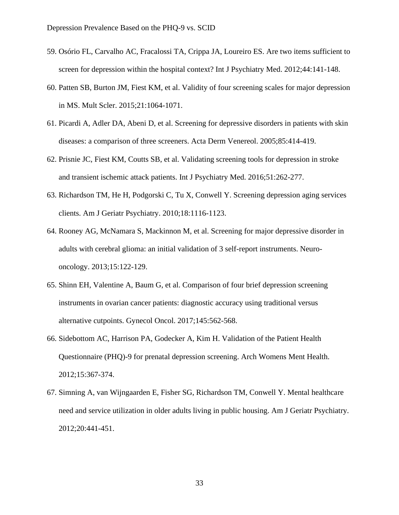- 59. Osório FL, Carvalho AC, Fracalossi TA, Crippa JA, Loureiro ES. Are two items sufficient to screen for depression within the hospital context? Int J Psychiatry Med. 2012;44:141-148.
- 60. Patten SB, Burton JM, Fiest KM, et al. Validity of four screening scales for major depression in MS. Mult Scler. 2015;21:1064-1071.
- 61. Picardi A, Adler DA, Abeni D, et al. Screening for depressive disorders in patients with skin diseases: a comparison of three screeners. Acta Derm Venereol. 2005;85:414-419.
- 62. Prisnie JC, Fiest KM, Coutts SB, et al. Validating screening tools for depression in stroke and transient ischemic attack patients. Int J Psychiatry Med. 2016;51:262-277.
- 63. Richardson TM, He H, Podgorski C, Tu X, Conwell Y. Screening depression aging services clients. Am J Geriatr Psychiatry. 2010;18:1116-1123.
- 64. Rooney AG, McNamara S, Mackinnon M, et al. Screening for major depressive disorder in adults with cerebral glioma: an initial validation of 3 self-report instruments. Neurooncology. 2013;15:122-129.
- 65. Shinn EH, Valentine A, Baum G, et al. Comparison of four brief depression screening instruments in ovarian cancer patients: diagnostic accuracy using traditional versus alternative cutpoints. Gynecol Oncol. 2017;145:562-568.
- 66. Sidebottom AC, Harrison PA, Godecker A, Kim H. Validation of the Patient Health Questionnaire (PHQ)-9 for prenatal depression screening. Arch Womens Ment Health. 2012;15:367-374.
- 67. Simning A, van Wijngaarden E, Fisher SG, Richardson TM, Conwell Y. Mental healthcare need and service utilization in older adults living in public housing. Am J Geriatr Psychiatry. 2012;20:441-451.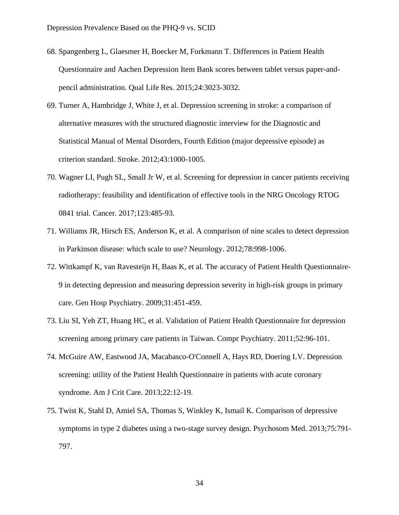- 68. Spangenberg L, Glaesmer H, Boecker M, Forkmann T. Differences in Patient Health Questionnaire and Aachen Depression Item Bank scores between tablet versus paper-andpencil administration. Qual Life Res. 2015;24:3023-3032.
- 69. Turner A, Hambridge J, White J, et al. Depression screening in stroke: a comparison of alternative measures with the structured diagnostic interview for the Diagnostic and Statistical Manual of Mental Disorders, Fourth Edition (major depressive episode) as criterion standard. Stroke. 2012;43:1000-1005.
- 70. Wagner LI, Pugh SL, Small Jr W, et al. Screening for depression in cancer patients receiving radiotherapy: feasibility and identification of effective tools in the NRG Oncology RTOG 0841 trial. Cancer. 2017;123:485-93.
- 71. Williams JR, Hirsch ES, Anderson K, et al. A comparison of nine scales to detect depression in Parkinson disease: which scale to use? Neurology. 2012;78:998-1006.
- 72. Wittkampf K, van Ravesteijn H, Baas K, et al. The accuracy of Patient Health Questionnaire-9 in detecting depression and measuring depression severity in high-risk groups in primary care. Gen Hosp Psychiatry. 2009;31:451-459.
- 73. Liu SI, Yeh ZT, Huang HC, et al. Validation of Patient Health Questionnaire for depression screening among primary care patients in Taiwan. Compr Psychiatry. 2011;52:96-101.
- 74. McGuire AW, Eastwood JA, Macabasco-O'Connell A, Hays RD, Doering LV. Depression screening: utility of the Patient Health Questionnaire in patients with acute coronary syndrome. Am J Crit Care. 2013;22:12-19.
- 75. Twist K, Stahl D, Amiel SA, Thomas S, Winkley K, Ismail K. Comparison of depressive symptoms in type 2 diabetes using a two-stage survey design. Psychosom Med. 2013;75:791- 797.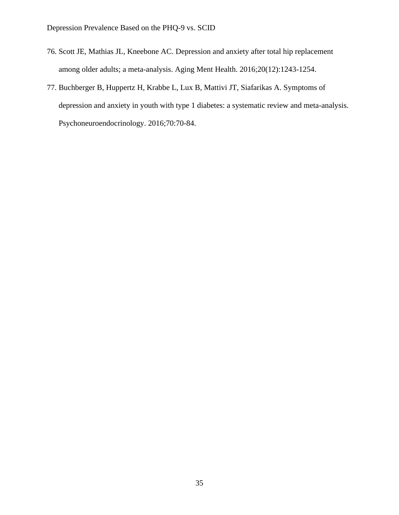- 76. Scott JE, Mathias JL, Kneebone AC. Depression and anxiety after total hip replacement among older adults; a meta-analysis. Aging Ment Health. 2016;20(12):1243-1254.
- 77. Buchberger B, Huppertz H, Krabbe L, Lux B, Mattivi JT, Siafarikas A. Symptoms of depression and anxiety in youth with type 1 diabetes: a systematic review and meta-analysis. Psychoneuroendocrinology. 2016;70:70-84.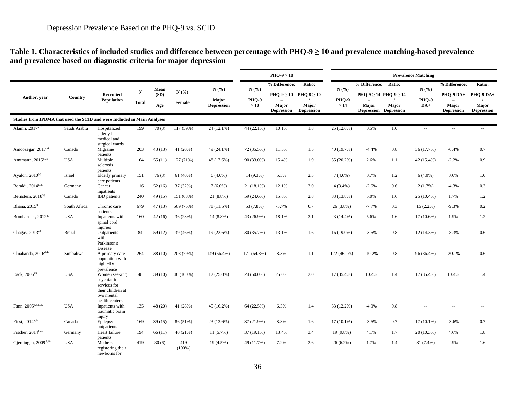#### **Table 1. Characteristics of included studies and difference between percentage with PHQ-9 ≥ 10 and prevalence matching-based prevalence and prevalence based on diagnostic criteria for major depression** <u> 1989 - Johann John Stein, mars an deus Amerikaansk kommunister (</u>

|                                                                          |               |                                                                                                                 |                           |                     |                  |                                           |                           | $PHQ-9 \geq 10$            |                                                             |                            | <b>Prevalence Matching</b>                                            |       |                          |                                         |                                         |  |  |  |
|--------------------------------------------------------------------------|---------------|-----------------------------------------------------------------------------------------------------------------|---------------------------|---------------------|------------------|-------------------------------------------|---------------------------|----------------------------|-------------------------------------------------------------|----------------------------|-----------------------------------------------------------------------|-------|--------------------------|-----------------------------------------|-----------------------------------------|--|--|--|
|                                                                          |               |                                                                                                                 |                           |                     |                  |                                           |                           | % Difference:              | Ratio:                                                      |                            | % Difference: Ratio:                                                  |       |                          | % Difference:                           | Ratio:                                  |  |  |  |
| Author, year                                                             | Country       | Recruited<br>Population                                                                                         | ${\bf N}$<br><b>Total</b> | Mean<br>(SD)<br>Age | N(%)<br>Female   | N(%)<br><b>Maior</b><br><b>Depression</b> | N(%<br>PHQ-9<br>$\geq 10$ | Major<br><b>Depression</b> | $PHQ-9 \ge 10$ $PHQ-9 \ge 10$<br>Major<br><b>Depression</b> | N(%)<br>PHQ-9<br>$\geq 14$ | PHQ-9 ≥ 14 PHQ-9 ≥ 14<br><b>Major</b><br><b>Depression Depression</b> | Major | N(%)<br>PHQ-9<br>$DA+$   | PHQ-9 DA+<br>Major<br><b>Depression</b> | PHO-9 DA+<br>Major<br><b>Depression</b> |  |  |  |
| Studies from IPDMA that used the SCID and were Included in Main Analyses |               |                                                                                                                 |                           |                     |                  |                                           |                           |                            |                                                             |                            |                                                                       |       |                          |                                         |                                         |  |  |  |
| Alamri, 2017 <sup>a,31</sup>                                             | Saudi Arabia  | Hospitalized                                                                                                    | 199                       | 70(8)               | 117 (59%)        | 24 (12.1%)                                | 44 (22.1%)                | 10.1%                      | 1.8                                                         | 25 (12.6%)                 | 0.5%                                                                  | 1.0   | $\overline{\phantom{a}}$ | $\overline{\phantom{a}}$                | $\overline{\phantom{a}}$                |  |  |  |
|                                                                          |               | elderly in<br>medical and<br>surgical wards                                                                     |                           |                     |                  |                                           |                           |                            |                                                             |                            |                                                                       |       |                          |                                         |                                         |  |  |  |
| Amoozegar, $2017^{34}$                                                   | Canada        | Migraine<br>patients                                                                                            | 203                       | 43(13)              | 41(20%)          | 49 (24.1%)                                | 72 (35.5%)                | 11.3%                      | 1.5                                                         | 40 (19.7%)                 | $-4.4%$                                                               | 0.8   | 36 (17.7%)               | $-6.4%$                                 | 0.7                                     |  |  |  |
| Amtmann, 2015b,35                                                        | <b>USA</b>    | Multiple<br>sclerosis<br>patients                                                                               | 164                       | 55(11)              | 127 (71%)        | 48 (17.6%)                                | 90 (33.0%)                | 15.4%                      | 1.9                                                         | 55 (20.2%)                 | 2.6%                                                                  | 1.1   | 42 (15.4%)               | $-2.2%$                                 | 0.9                                     |  |  |  |
| Ayalon, $2010^{36}$                                                      | Israel        | Elderly primary                                                                                                 | 151                       | 76(8)               | 61(40%)          | $6(4.0\%)$                                | 14 (9.3%)                 | 5.3%                       | 2.3                                                         | $7(4.6\%)$                 | 0.7%                                                                  | 1.2   | $6(4.0\%)$               | 0.0%                                    | 1.0                                     |  |  |  |
| Beraldi, $2014^{c,37}$                                                   | Germany       | care patients<br>Cancer                                                                                         | 116                       | 52(16)              | 37 (32%)         | $7(6.0\%)$                                | 21 (18.1%)                | 12.1%                      | 3.0                                                         | $4(3.4\%)$                 | $-2.6%$                                                               | 0.6   | 2(1.7%)                  | $-4.3%$                                 | 0.3                                     |  |  |  |
| Bernstein, 2018 <sup>38</sup>                                            | Canada        | inpatients<br><b>IBD</b> patients                                                                               | 240                       | 49(15)              | 151(63%)         | 21 (8.8%)                                 | 59 (24.6%)                | 15.8%                      | 2.8                                                         | 33 (13.8%)                 | 5.0%                                                                  | 1.6   | $25(10.4\%)$             | 1.7%                                    | 1.2                                     |  |  |  |
| Bhana, 2015 <sup>39</sup>                                                | South Africa  | Chronic care                                                                                                    | 679                       | 47(13)              | 509 (75%)        | 78 (11.5%)                                | 53 (7.8%)                 | $-3.7%$                    | 0.7                                                         | $26(3.8\%)$                | $-7.7%$                                                               | 0.3   | $15(2.2\%)$              | $-9.3%$                                 | 0.2                                     |  |  |  |
| Bombardier, 2012 <sup>40</sup>                                           | <b>USA</b>    | patients<br>Inpatients with<br>spinal cord<br>injuries                                                          | 160                       | 42(16)              | 36(23%)          | $14(8.8\%)$                               | 43 (26.9%)                | 18.1%                      | 3.1                                                         | 23 (14.4%)                 | 5.6%                                                                  | 1.6   | $17(10.6\%)$             | 1.9%                                    | 1.2                                     |  |  |  |
| Chagas, 2013 <sup>41</sup>                                               | <b>Brazil</b> | Outpatients<br>with<br>Parkinson's                                                                              | 84                        | 59 (12)             | 39 (46%)         | 19 (22.6%)                                | 30 (35.7%)                | 13.1%                      | 1.6                                                         | $16(19.0\%)$               | $-3.6\%$                                                              | 0.8   | 12 (14.3%)               | $-8.3%$                                 | 0.6                                     |  |  |  |
| Chiabanda, 2016 <sup>d,42</sup>                                          | Zimbabwe      | Disease<br>A primary care<br>population with<br>high HIV                                                        | 264                       | 38(10)              | 208 (79%)        | 149 (56.4%)                               | 171 (64.8%)               | 8.3%                       | 1.1                                                         | 122 (46.2%)                | $-10.2%$                                                              | 0.8   | 96 (36.4%)               | $-20.1%$                                | 0.6                                     |  |  |  |
| Eack. 2006 <sup>43</sup>                                                 | <b>USA</b>    | prevalence<br>Women seeking<br>psychiatric<br>services for<br>their children at<br>two mental<br>health centers | 48                        | 39(10)              | 48 (100%)        | $12(25.0\%)$                              | 24 (50.0%)                | 25.0%                      | 2.0                                                         | 17 (35.4%)                 | 10.4%                                                                 | 1.4   | 17 (35.4%)               | 10.4%                                   | 1.4                                     |  |  |  |
| Fann, 2005a,b,e,32                                                       | <b>USA</b>    | Inpatients with<br>traumatic brain                                                                              | 135                       | 48(20)              | 41 (28%)         | 45 (16.2%)                                | 64 (22.5%)                | 6.3%                       | 1.4                                                         | 33 (12.2%)                 | $-4.0\%$                                                              | 0.8   |                          |                                         | $\sim$                                  |  |  |  |
| Fiest, 2014 <sup>e,44</sup>                                              | Canada        | injury<br>Epilepsy                                                                                              | 169                       | 39(15)              | 86 (51%)         | 23 (13.6%)                                | 37 (21.9%)                | 8.3%                       | 1.6                                                         | $17(10.1\%)$               | $-3.6%$                                                               | 0.7   | $17(10.1\%)$             | $-3.6%$                                 | 0.7                                     |  |  |  |
| Fischer, 2014 <sup>f,45</sup>                                            | Germany       | outpatients<br>Heart failure                                                                                    | 194                       | 66(11)              | 40(21%)          | 11(5.7%)                                  | 37 (19.1%)                | 13.4%                      | 3.4                                                         | $19(9.8\%)$                | 4.1%                                                                  | 1.7   | $20(10.3\%)$             | 4.6%                                    | 1.8                                     |  |  |  |
| Gjerdingen, 2009 <sup>f,46</sup>                                         | <b>USA</b>    | patients<br>Mothers<br>registering their<br>newborns for                                                        | 419                       | 30(6)               | 419<br>$(100\%)$ | 19 (4.5%)                                 | 49 (11.7%)                | 7.2%                       | 2.6                                                         | $26(6.2\%)$                | 1.7%                                                                  | 1.4   | 31 (7.4%)                | 2.9%                                    | 1.6                                     |  |  |  |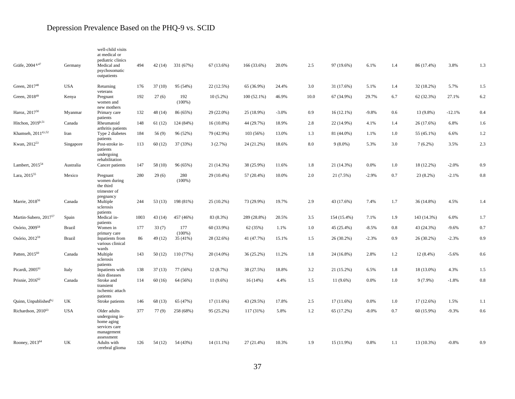| Gräfe, 2004 <sup>g,47</sup>       | Germany       | well-child visits<br>at medical or<br>pediatric clinics<br>Medical and<br>psychosomatic<br>outpatients | 494  | 42(14)  | 331 (67%)             | 67 (13.6%)   | 166 (33.6%)   | 20.0%    | 2.5     | 97 (19.6%)   | 6.1%    | 1.4 | 86 (17.4%)   | 3.8%     | 1.3 |
|-----------------------------------|---------------|--------------------------------------------------------------------------------------------------------|------|---------|-----------------------|--------------|---------------|----------|---------|--------------|---------|-----|--------------|----------|-----|
| Green, 2017 <sup>48</sup>         | <b>USA</b>    | Returning<br>veterans                                                                                  | 176  | 37(10)  | 95 (54%)              | 22 (12.5%)   | 65 (36.9%)    | 24.4%    | 3.0     | 31 (17.6%)   | 5.1%    | 1.4 | 32 (18.2%)   | 5.7%     | 1.5 |
| Green, $2018^{49}$                | Kenya         | Pregnant<br>women and<br>new mothers                                                                   | 192  | 27(6)   | 192<br>$(100\%)$      | $10(5.2\%)$  | $100(52.1\%)$ | 46.9%    | 10.0    | 67 (34.9%)   | 29.7%   | 6.7 | 62 (32.3%)   | 27.1%    | 6.2 |
| Haroz, 2017 <sup>50</sup>         | Myanmar       | Primary care<br>patients                                                                               | 132  | 48 (14) | 86 (65%)              | 29 (22.0%)   | 25 (18.9%)    | $-3.0\%$ | 0.9     | 16(12.1%)    | $-9.8%$ | 0.6 | 13 (9.8%)    | $-12.1%$ | 0.4 |
| Hitchon, $2019h,51$               | Canada        | Rheumatoid<br>arthritis patients                                                                       | 148  | 61(12)  | 124 (84%)             | $16(10.8\%)$ | 44 (29.7%)    | 18.9%    | 2.8     | 22 (14.9%)   | 4.1%    | 1.4 | 26 (17.6%)   | 6.8%     | 1.6 |
| Khamseh, 2011 <sup>d,i,52</sup>   | Iran          | Type 2 diabetes<br>patients                                                                            | 184  | 56(9)   | 96 (52%)              | 79 (42.9%)   | 103 (56%)     | 13.0%    | 1.3     | 81 (44.0%)   | 1.1%    | 1.0 | 55 (45.1%)   | 6.6%     | 1.2 |
| Kwan, 2012 <sup>53</sup>          | Singapore     | Post-stroke in-<br>patients<br>undergoing<br>rehabilitation                                            | 113  | 60(12)  | 37 (33%)              | 3(2.7%)      | 24 (21.2%)    | 18.6%    | 8.0     | $9(8.0\%)$   | 5.3%    | 3.0 | $7(6.2\%)$   | 3.5%     | 2.3 |
| Lambert, 2015 <sup>54</sup>       | Australia     | Cancer patients                                                                                        | 147  | 58 (10) | 96 (65%)              | 21 (14.3%)   | 38 (25.9%)    | 11.6%    | 1.8     | 21 (14.3%)   | 0.0%    | 1.0 | 18 (12.2%)   | $-2.0%$  | 0.9 |
| Lara, 2015 <sup>55</sup>          | Mexico        | Pregnant<br>women during<br>the third<br>trimester of                                                  | 280  | 29(6)   | 280<br>$(100\%)$      | 29 (10.4%)   | 57 (20.4%)    | 10.0%    | 2.0     | 21(7.5%)     | $-2.9%$ | 0.7 | 23 (8.2%)    | $-2.1%$  | 0.8 |
| Marrie, 2018 <sup>56</sup>        | Canada        | pregnancy<br>Multiple<br>sclerosis                                                                     | 244  | 53(13)  | 198 (81%)             | 25 (10.2%)   | 73 (29.9%)    | 19.7%    | 2.9     | 43 (17.6%)   | 7.4%    | 1.7 | 36 (14.8%)   | 4.5%     | 1.4 |
| Martin-Subero, 2017 <sup>57</sup> | Spain         | patients<br>Medical in-                                                                                | 1003 | 43(14)  | 457 (46%)             | 83 (8.3%)    | 289 (28.8%)   | 20.5%    | 3.5     | 154 (15.4%)  | 7.1%    | 1.9 | 143 (14.3%)  | 6.0%     | 1.7 |
| Osório, 2009 <sup>58</sup>        | Brazil        | patients<br>Women in                                                                                   | 177  | 33(7)   | 177                   | 60 (33.9%)   | 62 (35%)      | 1.1%     | $1.0\,$ | 45 (25.4%)   | $-8.5%$ | 0.8 | 43 (24.3%)   | $-9.6\%$ | 0.7 |
| Osório, 2012 <sup>59</sup>        | <b>Brazil</b> | primary care<br>Inpatients from<br>various clinical                                                    | 86   | 49 (12) | $(100\%)$<br>35 (41%) | 28 (32.6%)   | 41 (47.7%)    | 15.1%    | 1.5     | $26(30.2\%)$ | $-2.3%$ | 0.9 | 26 (30.2%)   | $-2.3%$  | 0.9 |
| Patten, 2015 <sup>60</sup>        | Canada        | wards<br>Multiple<br>sclerosis                                                                         | 143  | 50(12)  | 110 (77%)             | $20(14.0\%)$ | 36 (25.2%)    | 11.2%    | 1.8     | 24 (16.8%)   | 2.8%    | 1.2 | $12(8.4\%)$  | $-5.6%$  | 0.6 |
| Picardi, 2005 <sup>61</sup>       | Italy         | patients<br>Inpatients with                                                                            | 138  | 37(13)  | 77 (56%)              | 12 (8.7%)    | 38 (27.5%)    | 18.8%    | 3.2     | 21 (15.2%)   | 6.5%    | 1.8 | 18 (13.0%)   | 4.3%     | 1.5 |
| Prisnie, $2016^{62}$              | Canada        | skin diseases<br>Stroke and<br>transient<br>ischemic attach<br>patients                                | 114  | 60(16)  | 64 (56%)              | $11(9.6\%)$  | 16(14%)       | 4.4%     | 1.5     | $11(9.6\%)$  | 0.0%    | 1.0 | $9(7.9\%)$   | $-1.8%$  | 0.8 |
| Quinn, Unpublishedh,j             | UK            | Stroke patients                                                                                        | 146  | 68(13)  | 65 (47%)              | $17(11.6\%)$ | 43 (29.5%)    | 17.8%    | 2.5     | $17(11.6\%)$ | $0.0\%$ | 1.0 | $17(12.6\%)$ | 1.5%     | 1.1 |
| Richardson, 2010 <sup>63</sup>    | <b>USA</b>    | Older adults<br>undergoing in-<br>home aging<br>services care<br>management<br>assessment              | 377  | 77(9)   | 258 (68%)             | 95 (25.2%)   | 117 (31%)     | 5.8%     | 1.2     | 65 (17.2%)   | $-8.0%$ | 0.7 | 60 (15.9%)   | $-9.3%$  | 0.6 |
| Rooney, 2013 <sup>64</sup>        | UK            | Adults with<br>cerebral glioma                                                                         | 126  | 54 (12) | 54 (43%)              | $14(11.1\%)$ | 27 (21.4%)    | 10.3%    | 1.9     | 15 (11.9%)   | 0.8%    | 1.1 | 13 (10.3%)   | $-0.8%$  | 0.9 |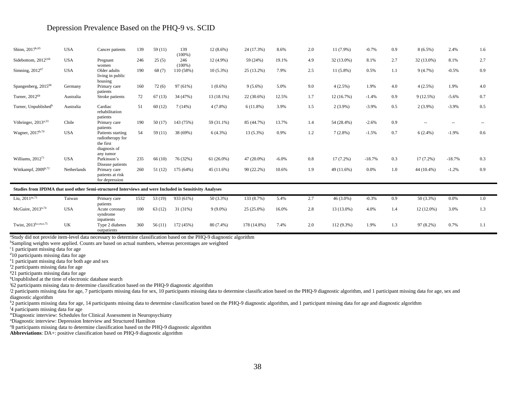| Shinn, 2017 <sup>k,65</sup>                                                                             | <b>USA</b>  | Cancer patients                                                                 | 139  | 59(11)  | 139<br>$(100\%)$ | $12(8.6\%)$  | 24 (17.3%)  | 8.6%    | 2.0 | 11 (7.9%)   | $-0.7%$  | 0.9 | $8(6.5\%)$  | 2.4%                     | 1.6    |
|---------------------------------------------------------------------------------------------------------|-------------|---------------------------------------------------------------------------------|------|---------|------------------|--------------|-------------|---------|-----|-------------|----------|-----|-------------|--------------------------|--------|
| Sidebottom, 2012 <sup>1,66</sup>                                                                        | <b>USA</b>  | Pregnant<br>women                                                               | 246  | 25(5)   | 246<br>$(100\%)$ | 12 (4.9%)    | 59 (24%)    | 19.1%   | 4.9 | 32 (13.0%)  | 8.1%     | 2.7 | 32 (13.0%)  | 8.1%                     | 2.7    |
| Simning, 2012 <sup>67</sup>                                                                             | <b>USA</b>  | Older adults<br>living in public<br>housing                                     | 190  | 68(7)   | 110 (58%)        | $10(5.3\%)$  | 25 (13.2%)  | 7.9%    | 2.5 | $11(5.8\%)$ | 0.5%     | 1.1 | 9(4.7%)     | $-0.5%$                  | 0.9    |
| Spangenberg, 2015 <sup>68</sup>                                                                         | Germany     | Primary care<br>patients                                                        | 160  | 72(6)   | 97 (61%)         | $1(0.6\%)$   | $9(5.6\%)$  | 5.0%    | 9.0 | $4(2.5\%)$  | 1.9%     | 4.0 | 4(2.5%)     | 1.9%                     | 4.0    |
| Turner, 2012 <sup>69</sup>                                                                              | Australia   | Stroke patients                                                                 | 72   | 67(13)  | 34 (47%)         | 13 (18.1%)   | 22 (30.6%)  | 12.5%   | 1.7 | 12(16.7%)   | $-1.4%$  | 0.9 | 9(12.5%)    | $-5.6%$                  | 0.7    |
| Turner, Unpublished <sup>h</sup>                                                                        | Australia   | Cardiac<br>rehabilitation<br>patients                                           | 51   | 60(12)  | 7(14%)           | $4(7.8\%)$   | $6(11.8\%)$ | 3.9%    | 1.5 | $2(3.9\%)$  | $-3.9%$  | 0.5 | $2(3.9\%)$  | $-3.9%$                  | 0.5    |
| Vöhringer, 2013 <sup>a,33</sup>                                                                         | Chile       | Primary care<br>patients                                                        | 190  | 50 (17) | 143 (75%)        | 59 (31.1%)   | 85 (44.7%)  | 13.7%   | 1.4 | 54 (28.4%)  | $-2.6%$  | 0.9 | $\sim$      | $\hspace{0.05cm} \ldots$ | $\sim$ |
| Wagner, 2017b,70                                                                                        | <b>USA</b>  | Patients starting<br>radiotherapy for<br>the first<br>diagnosis of<br>any tumor | 54   | 59(11)  | 38 (69%)         | $6(4.3\%)$   | $13(5.3\%)$ | 0.9%    | 1.2 | $7(2.8\%)$  | $-1.5%$  | 0.7 | $6(2.4\%)$  | $-1.9%$                  | 0.6    |
| Williams, $201271$                                                                                      | <b>USA</b>  | Parkinson's<br>Disease patients                                                 | 235  | 66(10)  | 76 (32%)         | $61(26.0\%)$ | 47 (20.0%)  | $-6.0%$ | 0.8 | $17(7.2\%)$ | $-18.7%$ | 0.3 | $17(7.2\%)$ | $-18.7%$                 | 0.3    |
| Wittkampf, 2009b,72                                                                                     | Netherlands | Primary care<br>patients at risk<br>for depression                              | 260  | 51 (12) | 175 (64%)        | 45(11.6%)    | 90 (22.2%)  | 10.6%   | 1.9 | 49 (11.6%)  | 0.0%     | 1.0 | 44 (10.4%)  | $-1.2%$                  | 0.9    |
| Studies from IPDMA that used other Semi-structured Interviews and were Included in Sensitivity Analyses |             |                                                                                 |      |         |                  |              |             |         |     |             |          |     |             |                          |        |
| Liu, $2011^{\mathrm{m},73}$                                                                             | Taiwan      | Primary care<br>patients                                                        | 1532 | 53(19)  | 933 (61%)        | 50 (3.3%)    | 133 (8.7%)  | 5.4%    | 2.7 | 46 (3.0%)   | $-0.3%$  | 0.9 | 50 (3.3%)   | 0.0%                     | 1.0    |
| McGuire, $2013^{n,74}$                                                                                  | <b>USA</b>  | Acute coronary<br>syndrome                                                      | 100  | 63(12)  | 31 (31%)         | $9(9.0\%)$   | 25 (25.0%)  | 16.0%   | 2.8 | 13 (13.0%)  | 4.0%     | 1.4 | 12 (12.0%)  | 3.0%                     | 1.3    |

Twist, 2013b,c,m,o,75 UK Type 2 diabetes outpatients 360 56 (11) 172 (45%) 80 (7.4%) 178 (14.8%) 7.4% 2.0 112 (9.3%) 1.9% 1.3 97 (8.2%) 0.7% 1.1

<sup>a</sup>Study did not provide item-level data necessary to determine classification based on the PHQ-9 diagnostic algorithm

<sup>b</sup>Sampling weights were applied. Counts are based on actual numbers, whereas percentages are weighted

inpatients

<sup>c</sup>1 participant missing data for age

<sup>d</sup>10 participants missing data for age

<sup>e</sup>1 participant missing data for both age and sex

<sup>f</sup>2 participants missing data for age

<sup>g</sup>21 participants missing data for age

<sup>h</sup>Unpublished at the time of electronic database search

<sup>1</sup>62 participants missing data to determine classification based on the PHQ-9 diagnostic algorithm

<sup>j2</sup> participants missing data for age, 7 participants missing data for sex, 10 participants missing data for sex, 10 participants missing data for sex, 10 participants missing data for age, sex and diagnostic algorithm

<sup>k</sup>2 participants missing data for age, 14 participants missing data to determine classification based on the PHQ-9 diagnostic algorithm, and 1 participant missing data for age and diagnostic algorithm

<sup>1</sup>4 participants missing data for age

<sup>m</sup>Diagnostic interview: Schedules for Clinical Assessment in Neuropsychiatry

<sup>n</sup>Diagnostic interview: Depression Interview and Structured Hamilton

<sup>o</sup>8 participants missing data to determine classification based on the PHQ-9 diagnostic algorithm

**Abbreviations**: DA+: positive classification based on PHQ-9 diagnostic algorithm